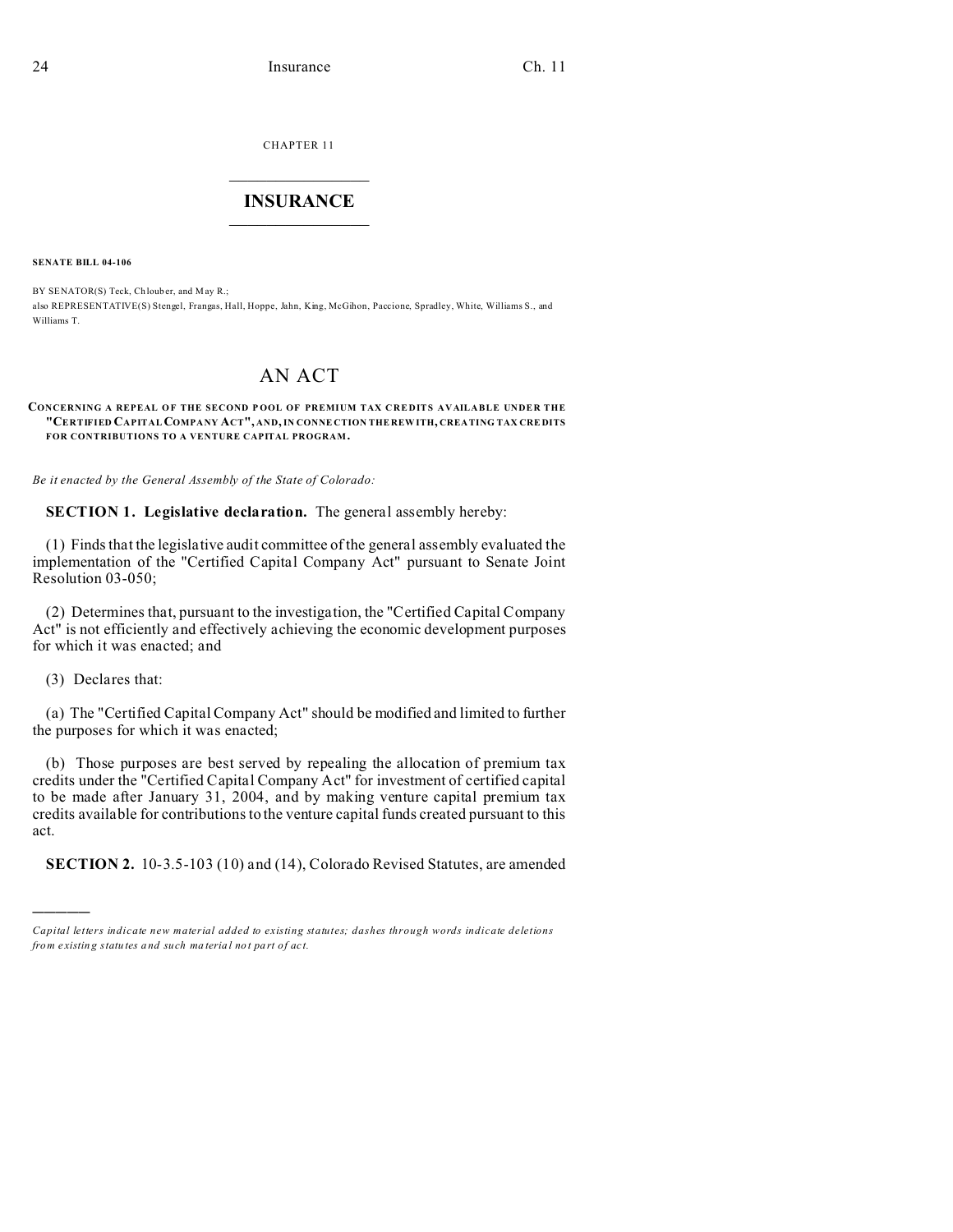CHAPTER 11  $\overline{\phantom{a}}$  , where  $\overline{\phantom{a}}$ 

# **INSURANCE**  $\_$   $\_$   $\_$   $\_$   $\_$   $\_$   $\_$   $\_$

**SENATE BILL 04-106**

BY SENATOR(S) Teck, Chlouber, and May R.; also REPRESENTATIVE(S) Stengel, Frangas, Hall, Hoppe, Jahn, King, McGihon, Paccione, Spradley, White, Williams S., and Williams T.

# AN ACT

#### **CONCERNING A REPEAL O F THE SECOND P OOL OF PREMIUM TAX CREDITS AVAILABLE UNDER THE "CERTIFIED CAPITAL COMPANY ACT", AND, IN CONNE CTION THE REW ITH, CREA TING TAX CRE DITS FOR CONTRIBUTIONS TO A VENTURE CAPITAL PROGRAM.**

*Be it enacted by the General Assembly of the State of Colorado:*

**SECTION 1. Legislative declaration.** The general assembly hereby:

(1) Finds that the legislative audit committee of the general assembly evaluated the implementation of the "Certified Capital Company Act" pursuant to Senate Joint Resolution 03-050;

(2) Determines that, pursuant to the investigation, the "Certified Capital Company Act" is not efficiently and effectively achieving the economic development purposes for which it was enacted; and

(3) Declares that:

)))))

(a) The "Certified Capital Company Act" should be modified and limited to further the purposes for which it was enacted;

(b) Those purposes are best served by repealing the allocation of premium tax credits under the "Certified Capital Company Act" for investment of certified capital to be made after January 31, 2004, and by making venture capital premium tax credits available for contributions to the venture capital funds created pursuant to this act.

**SECTION 2.** 10-3.5-103 (10) and (14), Colorado Revised Statutes, are amended

*Capital letters indicate new material added to existing statutes; dashes through words indicate deletions from e xistin g statu tes a nd such ma teria l no t pa rt of ac t.*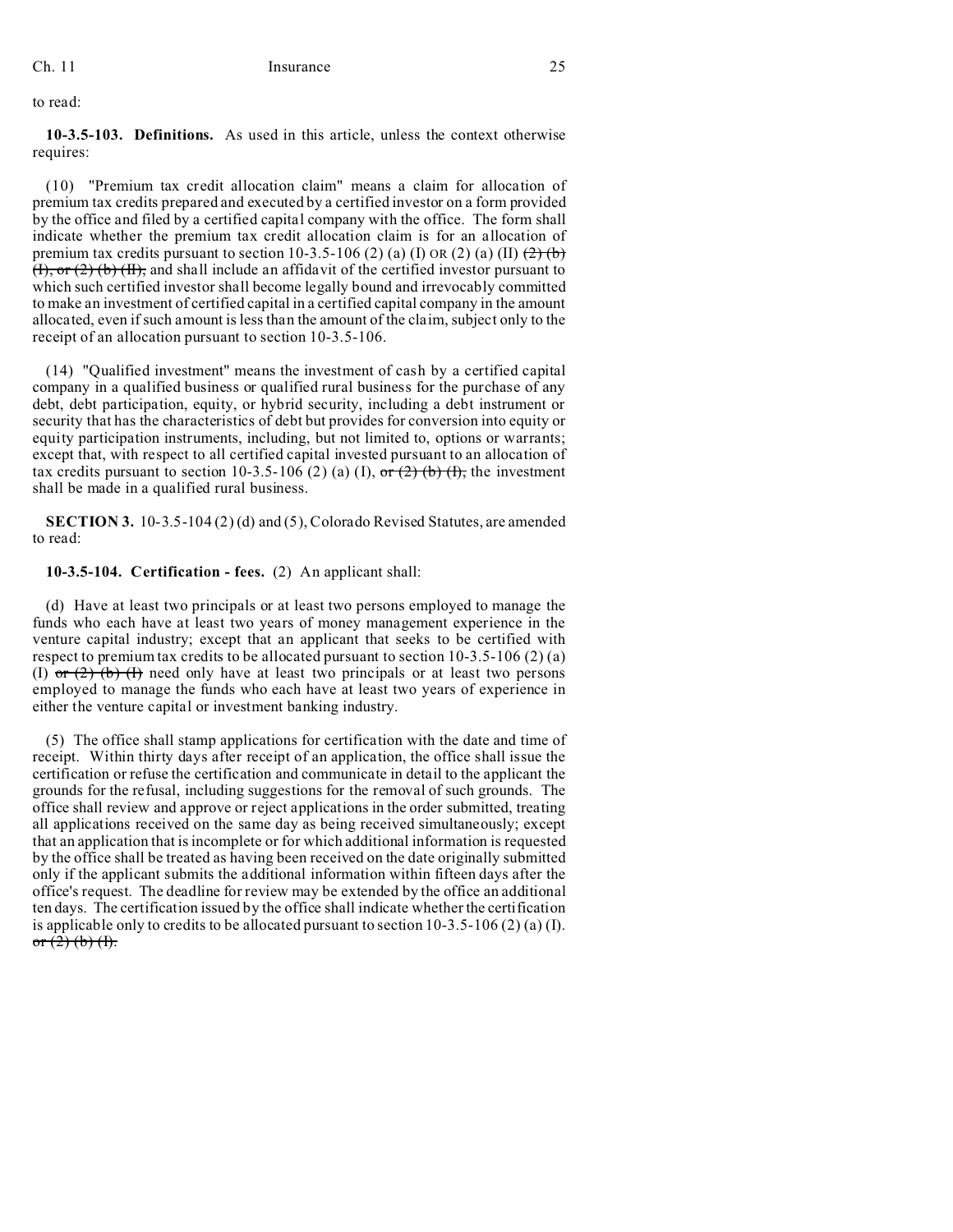to read:

**10-3.5-103. Definitions.** As used in this article, unless the context otherwise requires:

(10) "Premium tax credit allocation claim" means a claim for allocation of premium tax credits prepared and executed by a certified investor on a form provided by the office and filed by a certified capital company with the office. The form shall indicate whether the premium tax credit allocation claim is for an allocation of premium tax credits pursuant to section 10-3.5-106 (2) (a) (I) OR (2) (a) (II)  $\left(\frac{2}{\epsilon}\right)$  $(H)$ , or  $(2)$  (b)  $(H)$ , and shall include an affidavit of the certified investor pursuant to which such certified investor shall become legally bound and irrevocably committed to make an investment of certified capital in a certified capital company in the amount allocated, even if such amount is less than the amount of the claim, subject only to the receipt of an allocation pursuant to section 10-3.5-106.

(14) "Qualified investment" means the investment of cash by a certified capital company in a qualified business or qualified rural business for the purchase of any debt, debt participation, equity, or hybrid security, including a debt instrument or security that has the characteristics of debt but provides for conversion into equity or equity participation instruments, including, but not limited to, options or warrants; except that, with respect to all certified capital invested pursuant to an allocation of tax credits pursuant to section 10-3.5-106 (2) (a) (I), or (2) (b) (f), the investment shall be made in a qualified rural business.

**SECTION 3.** 10-3.5-104 (2) (d) and (5), Colorado Revised Statutes, are amended to read:

# **10-3.5-104. Certification - fees.** (2) An applicant shall:

(d) Have at least two principals or at least two persons employed to manage the funds who each have at least two years of money management experience in the venture capital industry; except that an applicant that seeks to be certified with respect to premium tax credits to be allocated pursuant to section 10-3.5-106 (2) (a) (I) or  $(2)$  (b) (I) need only have at least two principals or at least two persons employed to manage the funds who each have at least two years of experience in either the venture capital or investment banking industry.

(5) The office shall stamp applications for certification with the date and time of receipt. Within thirty days after receipt of an application, the office shall issue the certification or refuse the certification and communicate in detail to the applicant the grounds for the refusal, including suggestions for the removal of such grounds. The office shall review and approve or reject applications in the order submitted, treating all applications received on the same day as being received simultaneously; except that an application that is incomplete or for which additional information is requested by the office shall be treated as having been received on the date originally submitted only if the applicant submits the additional information within fifteen days after the office's request. The deadline for review may be extended by the office an additional ten days. The certification issued by the office shall indicate whether the certification is applicable only to credits to be allocated pursuant to section 10-3.5-106 (2) (a) (I). or  $(2)$  (b) (f).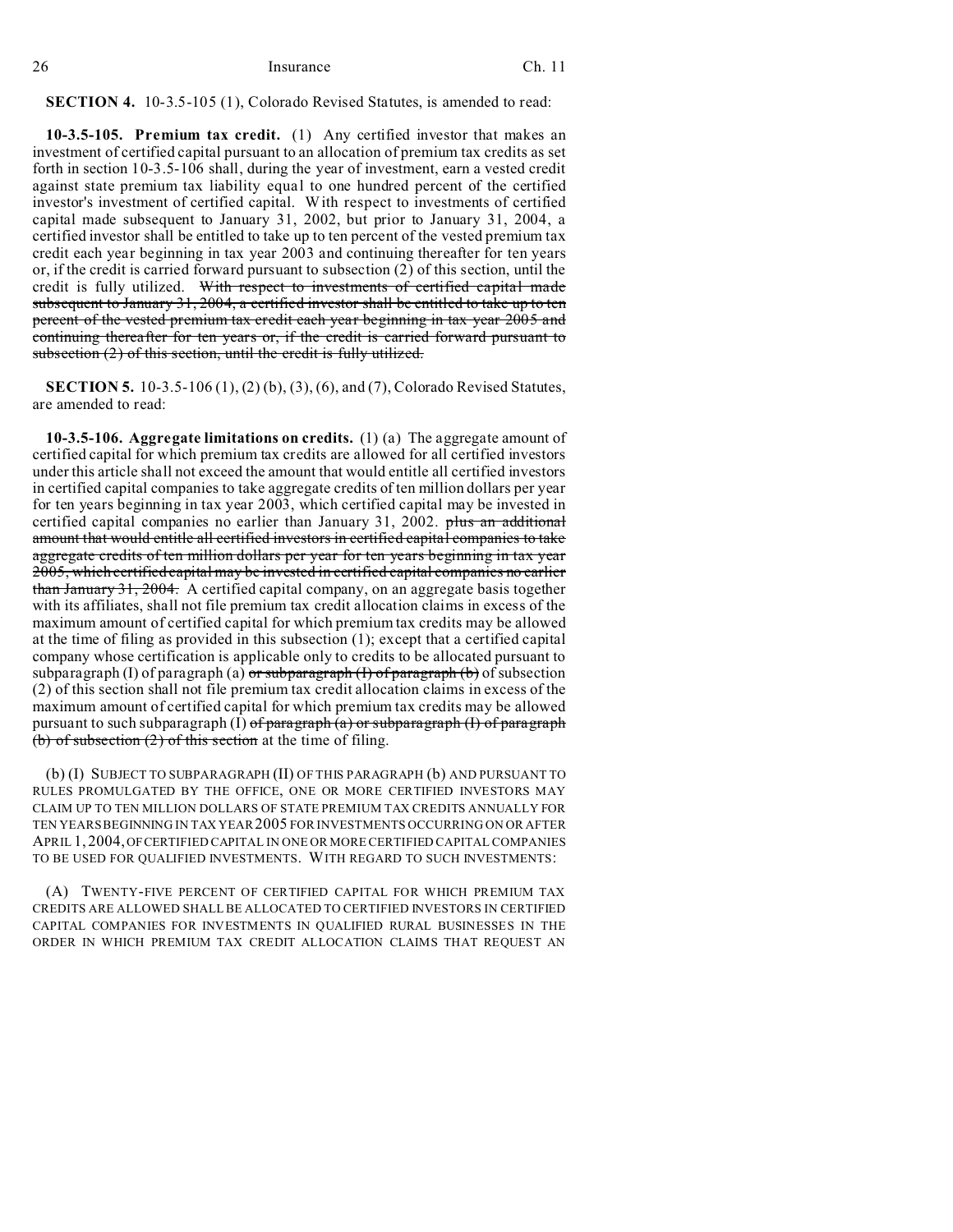# **SECTION 4.** 10-3.5-105 (1), Colorado Revised Statutes, is amended to read:

**10-3.5-105. Premium tax credit.** (1) Any certified investor that makes an investment of certified capital pursuant to an allocation of premium tax credits as set forth in section 10-3.5-106 shall, during the year of investment, earn a vested credit against state premium tax liability equal to one hundred percent of the certified investor's investment of certified capital. With respect to investments of certified capital made subsequent to January 31, 2002, but prior to January 31, 2004, a certified investor shall be entitled to take up to ten percent of the vested premium tax credit each year beginning in tax year 2003 and continuing thereafter for ten years or, if the credit is carried forward pursuant to subsection (2) of this section, until the credit is fully utilized. With respect to investments of certified capital made subsequent to January 31, 2004, a certified investor shall be entitled to take up to ten percent of the vested premium tax credit each year beginning in tax year 2005 and continuing thereafter for ten years or, if the credit is carried forward pursuant to subsection (2) of this section, until the credit is fully utilized.

**SECTION 5.** 10-3.5-106 (1), (2) (b), (3), (6), and (7), Colorado Revised Statutes, are amended to read:

**10-3.5-106. Aggregate limitations on credits.** (1) (a) The aggregate amount of certified capital for which premium tax credits are allowed for all certified investors under this article shall not exceed the amount that would entitle all certified investors in certified capital companies to take aggregate credits of ten million dollars per year for ten years beginning in tax year 2003, which certified capital may be invested in certified capital companies no earlier than January 31, 2002. plus an additional amount that would entitle all certified investors in certified capital companies to take aggregate credits of ten million dollars per year for ten years beginning in tax year 2005, which certified capital may be invested in certified capital companies no earlier than January 31, 2004. A certified capital company, on an aggregate basis together with its affiliates, shall not file premium tax credit allocation claims in excess of the maximum amount of certified capital for which premium tax credits may be allowed at the time of filing as provided in this subsection (1); except that a certified capital company whose certification is applicable only to credits to be allocated pursuant to subparagraph (I) of paragraph (a)  $\sigma r$  subparagraph (I) of paragraph (b) of subsection (2) of this section shall not file premium tax credit allocation claims in excess of the maximum amount of certified capital for which premium tax credits may be allowed pursuant to such subparagraph (I) of paragraph  $(a)$  or subparagraph (I) of paragraph  **of subsection (2) of this section at the time of filing.** 

(b) (I) SUBJECT TO SUBPARAGRAPH (II) OF THIS PARAGRAPH (b) AND PURSUANT TO RULES PROMULGATED BY THE OFFICE, ONE OR MORE CERTIFIED INVESTORS MAY CLAIM UP TO TEN MILLION DOLLARS OF STATE PREMIUM TAX CREDITS ANNUALLY FOR TEN YEARS BEGINNING IN TAX YEAR 2005 FOR INVESTMENTS OCCURRING ON OR AFTER APRIL 1, 2004, OF CERTIFIED CAPITAL IN ONE OR MORE CERTIFIED CAPITAL COMPANIES TO BE USED FOR QUALIFIED INVESTMENTS. WITH REGARD TO SUCH INVESTMENTS:

(A) TWENTY-FIVE PERCENT OF CERTIFIED CAPITAL FOR WHICH PREMIUM TAX CREDITS ARE ALLOWED SHALL BE ALLOCATED TO CERTIFIED INVESTORS IN CERTIFIED CAPITAL COMPANIES FOR INVESTMENTS IN QUALIFIED RURAL BUSINESSES IN THE ORDER IN WHICH PREMIUM TAX CREDIT ALLOCATION CLAIMS THAT REQUEST AN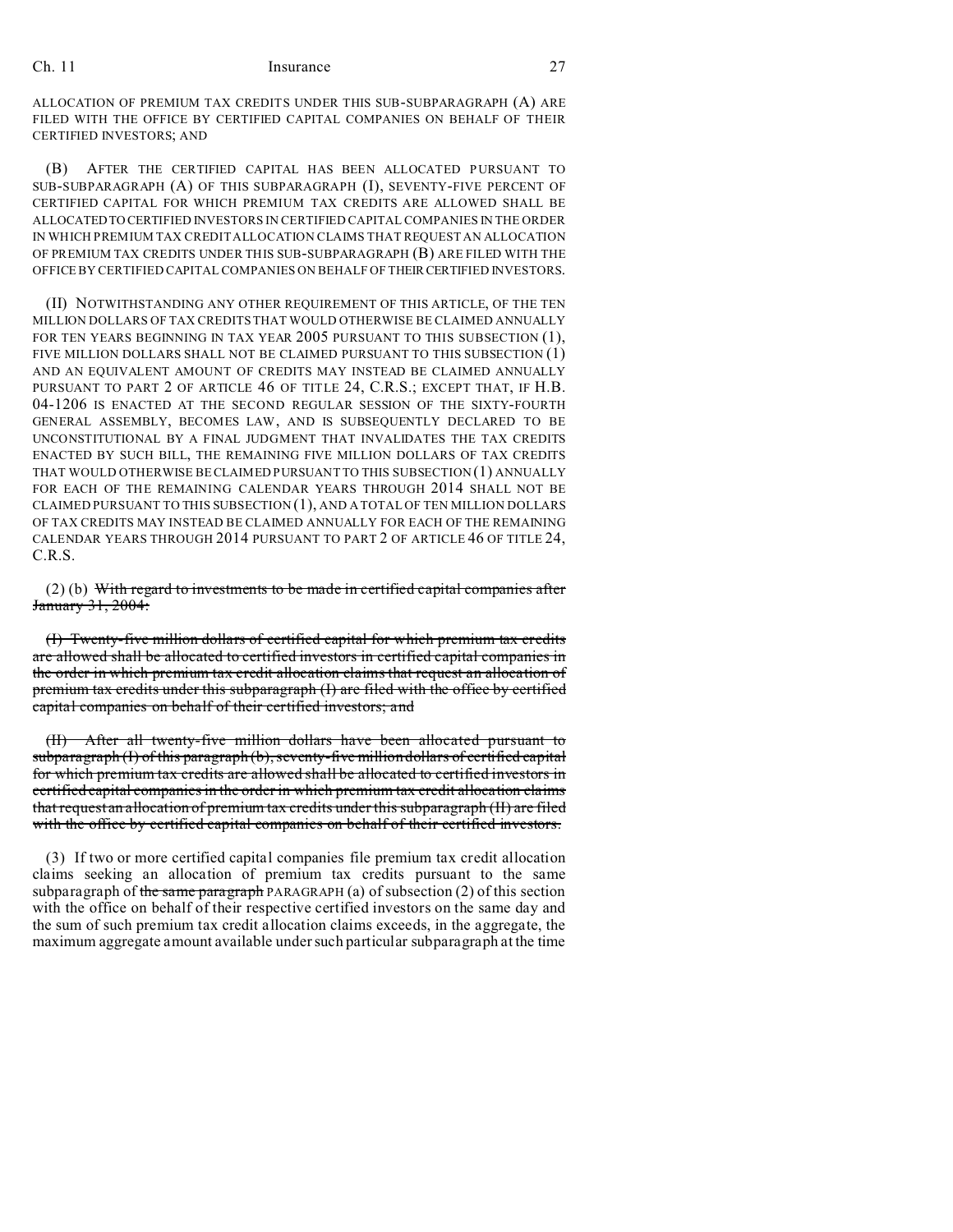ALLOCATION OF PREMIUM TAX CREDITS UNDER THIS SUB-SUBPARAGRAPH (A) ARE FILED WITH THE OFFICE BY CERTIFIED CAPITAL COMPANIES ON BEHALF OF THEIR CERTIFIED INVESTORS; AND

(B) AFTER THE CERTIFIED CAPITAL HAS BEEN ALLOCATED PURSUANT TO SUB-SUBPARAGRAPH (A) OF THIS SUBPARAGRAPH (I), SEVENTY-FIVE PERCENT OF CERTIFIED CAPITAL FOR WHICH PREMIUM TAX CREDITS ARE ALLOWED SHALL BE ALLOCATEDTO CERTIFIED INVESTORS IN CERTIFIED CAPITAL COMPANIES IN THE ORDER IN WHICH PREMIUM TAX CREDIT ALLOCATION CLAIMS THAT REQUEST AN ALLOCATION OF PREMIUM TAX CREDITS UNDER THIS SUB-SUBPARAGRAPH (B) ARE FILED WITH THE OFFICE BY CERTIFIED CAPITAL COMPANIES ON BEHALF OF THEIR CERTIFIED INVESTORS.

(II) NOTWITHSTANDING ANY OTHER REQUIREMENT OF THIS ARTICLE, OF THE TEN MILLION DOLLARS OF TAX CREDITS THAT WOULD OTHERWISE BE CLAIMED ANNUALLY FOR TEN YEARS BEGINNING IN TAX YEAR 2005 PURSUANT TO THIS SUBSECTION (1). FIVE MILLION DOLLARS SHALL NOT BE CLAIMED PURSUANT TO THIS SUBSECTION (1) AND AN EQUIVALENT AMOUNT OF CREDITS MAY INSTEAD BE CLAIMED ANNUALLY PURSUANT TO PART 2 OF ARTICLE 46 OF TITLE 24, C.R.S.; EXCEPT THAT, IF H.B. 04-1206 IS ENACTED AT THE SECOND REGULAR SESSION OF THE SIXTY-FOURTH GENERAL ASSEMBLY, BECOMES LAW, AND IS SUBSEQUENTLY DECLARED TO BE UNCONSTITUTIONAL BY A FINAL JUDGMENT THAT INVALIDATES THE TAX CREDITS ENACTED BY SUCH BILL, THE REMAINING FIVE MILLION DOLLARS OF TAX CREDITS THAT WOULD OTHERWISE BE CLAIMED PURSUANT TO THIS SUBSECTION (1) ANNUALLY FOR EACH OF THE REMAINING CALENDAR YEARS THROUGH 2014 SHALL NOT BE CLAIMED PURSUANT TO THIS SUBSECTION (1), AND A TOTAL OF TEN MILLION DOLLARS OF TAX CREDITS MAY INSTEAD BE CLAIMED ANNUALLY FOR EACH OF THE REMAINING CALENDAR YEARS THROUGH 2014 PURSUANT TO PART 2 OF ARTICLE 46 OF TITLE 24, C.R.S.

(2) (b) With regard to investments to be made in certified capital companies after January 31, 2004:

(I) Twenty-five million dollars of certified capital for which premium tax credits are allowed shall be allocated to certified investors in certified capital companies in the order in which premium tax credit allocation claims that request an allocation of premium tax credits under this subparagraph (I) are filed with the office by certified capital companies on behalf of their certified investors; and

(II) After all twenty-five million dollars have been allocated pursuant to subparagraph (I) of this paragraph (b), seventy-five million dollars of certified capital for which premium tax credits are allowed shall be allocated to certified investors in certified capital companies in the order in which premium tax credit allocation claims that request an allocation of premium tax credits under this subparagraph (II) are filed with the office by certified capital companies on behalf of their certified investors.

(3) If two or more certified capital companies file premium tax credit allocation claims seeking an allocation of premium tax credits pursuant to the same subparagraph of the same paragraph PARAGRAPH (a) of subsection  $(2)$  of this section with the office on behalf of their respective certified investors on the same day and the sum of such premium tax credit allocation claims exceeds, in the aggregate, the maximum aggregate amount available under such particular subparagraph at the time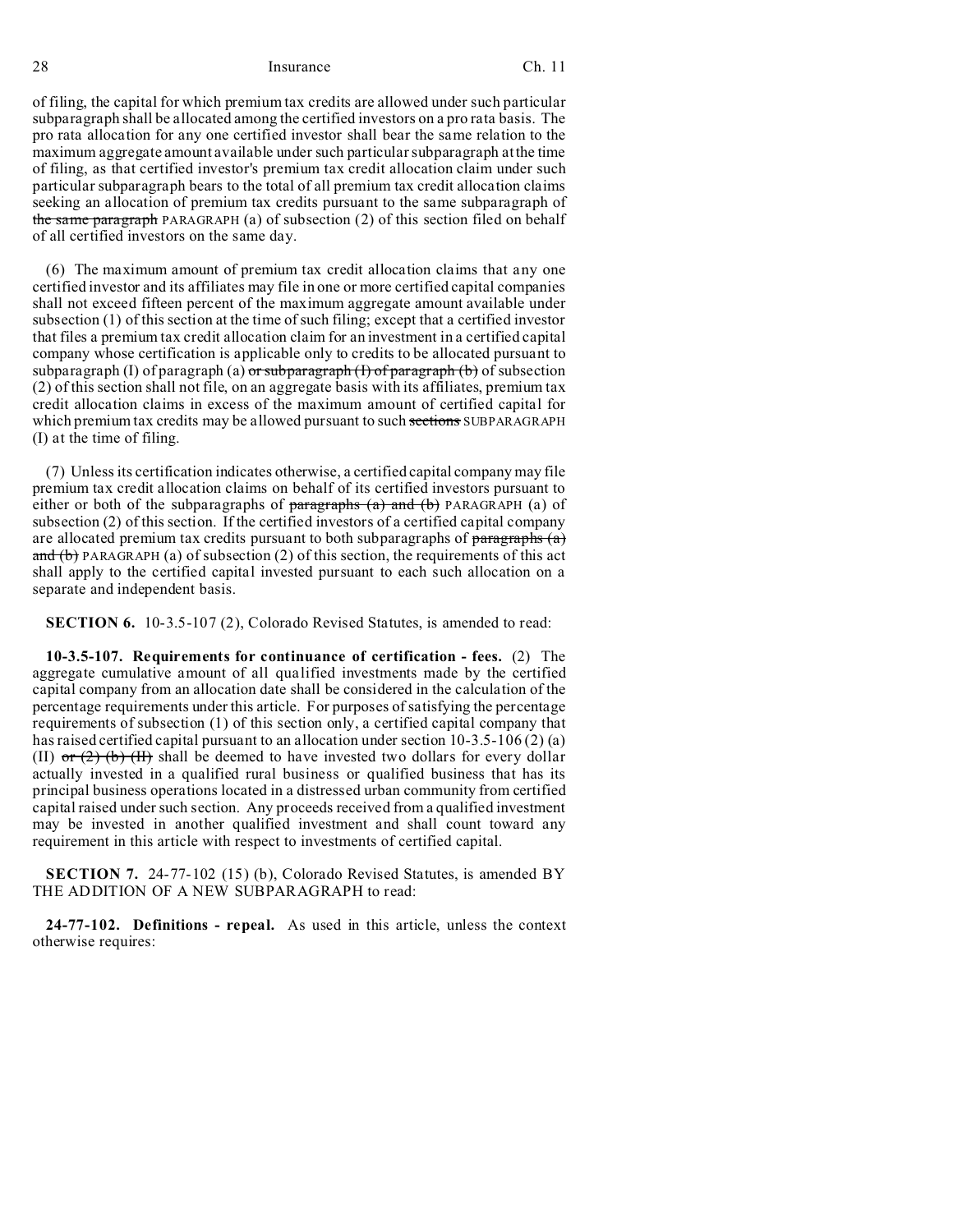of filing, the capital for which premium tax credits are allowed under such particular subparagraph shall be allocated among the certified investors on a pro rata basis. The pro rata allocation for any one certified investor shall bear the same relation to the maximum aggregate amount available under such particular subparagraph at the time of filing, as that certified investor's premium tax credit allocation claim under such particular subparagraph bears to the total of all premium tax credit allocation claims seeking an allocation of premium tax credits pursuant to the same subparagraph of the same paragraph PARAGRAPH (a) of subsection (2) of this section filed on behalf of all certified investors on the same day.

(6) The maximum amount of premium tax credit allocation claims that any one certified investor and its affiliates may file in one or more certified capital companies shall not exceed fifteen percent of the maximum aggregate amount available under subsection (1) of this section at the time of such filing; except that a certified investor that files a premium tax credit allocation claim for an investment in a certified capital company whose certification is applicable only to credits to be allocated pursuant to subparagraph (I) of paragraph (a)  $\sigma$ r subparagraph (I) of paragraph (b) of subsection (2) of this section shall not file, on an aggregate basis with its affiliates, premium tax credit allocation claims in excess of the maximum amount of certified capital for which premium tax credits may be allowed pursuant to such sections SUBPARAGRAPH (I) at the time of filing.

(7) Unless its certification indicates otherwise, a certified capital company may file premium tax credit allocation claims on behalf of its certified investors pursuant to either or both of the subparagraphs of  $\frac{1}{2}$  paragraphs  $\frac{1}{2}$  and  $\frac{1}{2}$  PARAGRAPH (a) of subsection (2) of this section. If the certified investors of a certified capital company are allocated premium tax credits pursuant to both subparagraphs of  $\frac{1}{\frac{1}{\sqrt{2}}\left(\frac{1}{\sqrt{2}}\right)}$ and  $(b)$  PARAGRAPH (a) of subsection (2) of this section, the requirements of this act shall apply to the certified capital invested pursuant to each such allocation on a separate and independent basis.

**SECTION 6.** 10-3.5-107 (2), Colorado Revised Statutes, is amended to read:

**10-3.5-107. Requirements for continuance of certification - fees.** (2) The aggregate cumulative amount of all qualified investments made by the certified capital company from an allocation date shall be considered in the calculation of the percentage requirements under this article. For purposes of satisfying the percentage requirements of subsection (1) of this section only, a certified capital company that has raised certified capital pursuant to an allocation under section 10-3.5-106 (2) (a) (II)  $\sigma$  (2) (b) (II) shall be deemed to have invested two dollars for every dollar actually invested in a qualified rural business or qualified business that has its principal business operations located in a distressed urban community from certified capital raised under such section. Any proceeds received from a qualified investment may be invested in another qualified investment and shall count toward any requirement in this article with respect to investments of certified capital.

**SECTION 7.** 24-77-102 (15) (b), Colorado Revised Statutes, is amended BY THE ADDITION OF A NEW SUBPARAGRAPH to read:

**24-77-102. Definitions - repeal.** As used in this article, unless the context otherwise requires: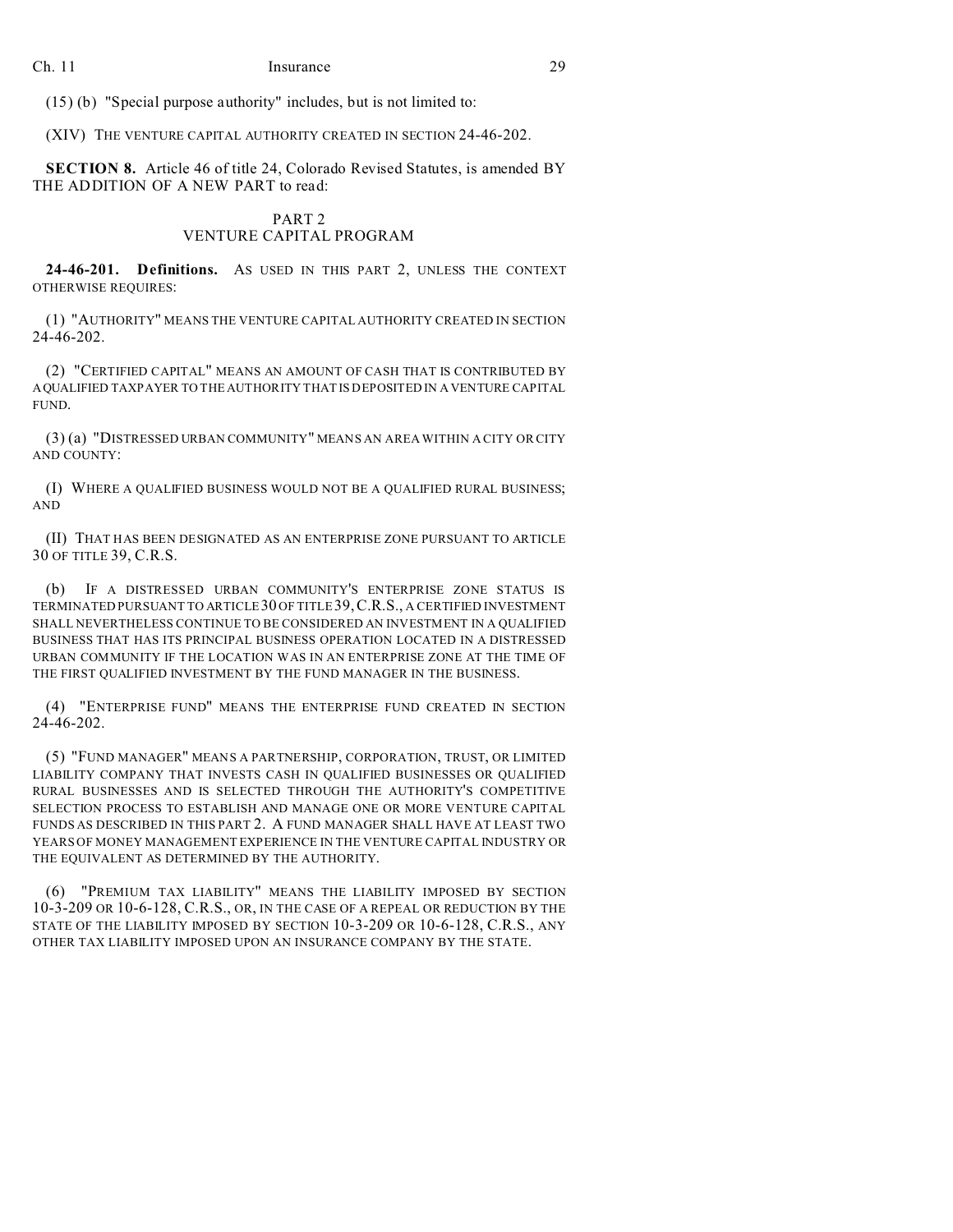(15) (b) "Special purpose authority" includes, but is not limited to:

(XIV) THE VENTURE CAPITAL AUTHORITY CREATED IN SECTION 24-46-202.

**SECTION 8.** Article 46 of title 24, Colorado Revised Statutes, is amended BY THE ADDITION OF A NEW PART to read:

# PART 2

# VENTURE CAPITAL PROGRAM

**24-46-201. Definitions.** AS USED IN THIS PART 2, UNLESS THE CONTEXT OTHERWISE REQUIRES:

(1) "AUTHORITY" MEANS THE VENTURE CAPITAL AUTHORITY CREATED IN SECTION 24-46-202.

(2) "CERTIFIED CAPITAL" MEANS AN AMOUNT OF CASH THAT IS CONTRIBUTED BY AQUALIFIED TAXPAYER TO THE AUTHORITY THAT IS DEPOSITED IN A VENTURE CAPITAL FUND.

(3) (a) "DISTRESSED URBAN COMMUNITY" MEANS AN AREA WITHIN A CITY OR CITY AND COUNTY:

(I) WHERE A QUALIFIED BUSINESS WOULD NOT BE A QUALIFIED RURAL BUSINESS; AND

(II) THAT HAS BEEN DESIGNATED AS AN ENTERPRISE ZONE PURSUANT TO ARTICLE 30 OF TITLE 39, C.R.S.

(b) IF A DISTRESSED URBAN COMMUNITY'S ENTERPRISE ZONE STATUS IS TERMINATED PURSUANT TO ARTICLE30 OF TITLE 39,C.R.S., A CERTIFIED INVESTMENT SHALL NEVERTHELESS CONTINUE TO BE CONSIDERED AN INVESTMENT IN A QUALIFIED BUSINESS THAT HAS ITS PRINCIPAL BUSINESS OPERATION LOCATED IN A DISTRESSED URBAN COMMUNITY IF THE LOCATION WAS IN AN ENTERPRISE ZONE AT THE TIME OF THE FIRST QUALIFIED INVESTMENT BY THE FUND MANAGER IN THE BUSINESS.

(4) "ENTERPRISE FUND" MEANS THE ENTERPRISE FUND CREATED IN SECTION 24-46-202.

(5) "FUND MANAGER" MEANS A PARTNERSHIP, CORPORATION, TRUST, OR LIMITED LIABILITY COMPANY THAT INVESTS CASH IN QUALIFIED BUSINESSES OR QUALIFIED RURAL BUSINESSES AND IS SELECTED THROUGH THE AUTHORITY'S COMPETITIVE SELECTION PROCESS TO ESTABLISH AND MANAGE ONE OR MORE VENTURE CAPITAL FUNDS AS DESCRIBED IN THIS PART 2. A FUND MANAGER SHALL HAVE AT LEAST TWO YEARS OF MONEY MANAGEMENT EXPERIENCE IN THE VENTURE CAPITAL INDUSTRY OR THE EQUIVALENT AS DETERMINED BY THE AUTHORITY.

(6) "PREMIUM TAX LIABILITY" MEANS THE LIABILITY IMPOSED BY SECTION 10-3-209 OR 10-6-128, C.R.S., OR, IN THE CASE OF A REPEAL OR REDUCTION BY THE STATE OF THE LIABILITY IMPOSED BY SECTION 10-3-209 OR 10-6-128, C.R.S., ANY OTHER TAX LIABILITY IMPOSED UPON AN INSURANCE COMPANY BY THE STATE.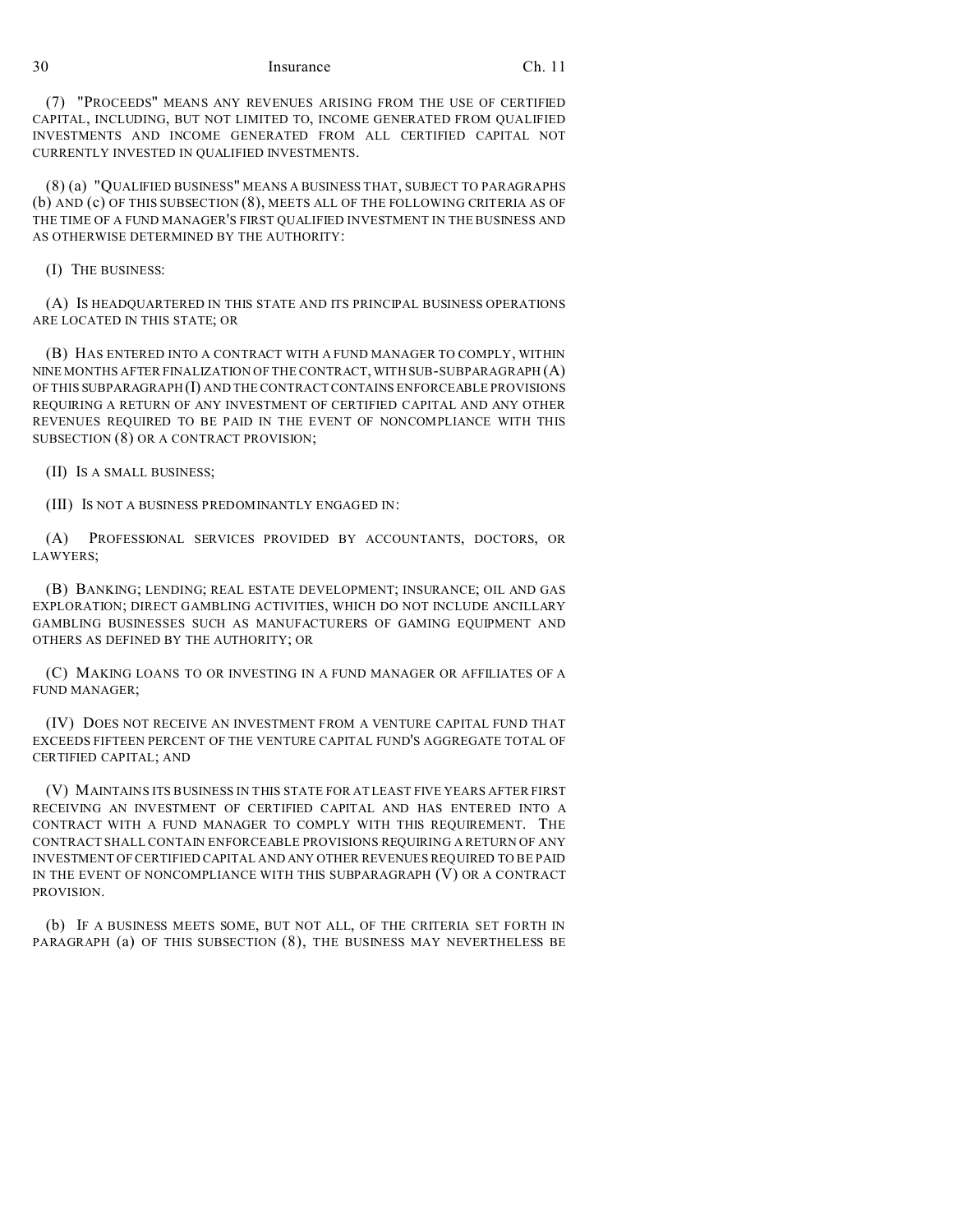(7) "PROCEEDS" MEANS ANY REVENUES ARISING FROM THE USE OF CERTIFIED CAPITAL, INCLUDING, BUT NOT LIMITED TO, INCOME GENERATED FROM QUALIFIED INVESTMENTS AND INCOME GENERATED FROM ALL CERTIFIED CAPITAL NOT CURRENTLY INVESTED IN QUALIFIED INVESTMENTS.

(8) (a) "QUALIFIED BUSINESS" MEANS A BUSINESS THAT, SUBJECT TO PARAGRAPHS (b) AND (c) OF THIS SUBSECTION (8), MEETS ALL OF THE FOLLOWING CRITERIA AS OF THE TIME OF A FUND MANAGER'S FIRST QUALIFIED INVESTMENT IN THE BUSINESS AND AS OTHERWISE DETERMINED BY THE AUTHORITY:

(I) THE BUSINESS:

(A) IS HEADQUARTERED IN THIS STATE AND ITS PRINCIPAL BUSINESS OPERATIONS ARE LOCATED IN THIS STATE; OR

(B) HAS ENTERED INTO A CONTRACT WITH A FUND MANAGER TO COMPLY, WITHIN NINE MONTHS AFTER FINALIZATION OF THE CONTRACT, WITH SUB-SUBPARAGRAPH (A) OF THIS SUBPARAGRAPH (I) AND THE CONTRACT CONTAINS ENFORCEABLE PROVISIONS REQUIRING A RETURN OF ANY INVESTMENT OF CERTIFIED CAPITAL AND ANY OTHER REVENUES REQUIRED TO BE PAID IN THE EVENT OF NONCOMPLIANCE WITH THIS SUBSECTION (8) OR A CONTRACT PROVISION;

(II) IS A SMALL BUSINESS;

(III) IS NOT A BUSINESS PREDOMINANTLY ENGAGED IN:

(A) PROFESSIONAL SERVICES PROVIDED BY ACCOUNTANTS, DOCTORS, OR LAWYERS;

(B) BANKING; LENDING; REAL ESTATE DEVELOPMENT; INSURANCE; OIL AND GAS EXPLORATION; DIRECT GAMBLING ACTIVITIES, WHICH DO NOT INCLUDE ANCILLARY GAMBLING BUSINESSES SUCH AS MANUFACTURERS OF GAMING EQUIPMENT AND OTHERS AS DEFINED BY THE AUTHORITY; OR

(C) MAKING LOANS TO OR INVESTING IN A FUND MANAGER OR AFFILIATES OF A FUND MANAGER;

(IV) DOES NOT RECEIVE AN INVESTMENT FROM A VENTURE CAPITAL FUND THAT EXCEEDS FIFTEEN PERCENT OF THE VENTURE CAPITAL FUND'S AGGREGATE TOTAL OF CERTIFIED CAPITAL; AND

(V) MAINTAINS ITS BUSINESS IN THIS STATE FOR AT LEAST FIVE YEARS AFTER FIRST RECEIVING AN INVESTMENT OF CERTIFIED CAPITAL AND HAS ENTERED INTO A CONTRACT WITH A FUND MANAGER TO COMPLY WITH THIS REQUIREMENT. THE CONTRACT SHALL CONTAIN ENFORCEABLE PROVISIONS REQUIRING A RETURN OF ANY INVESTMENT OF CERTIFIED CAPITAL AND ANY OTHER REVENUES REQUIRED TO BE PAID IN THE EVENT OF NONCOMPLIANCE WITH THIS SUBPARAGRAPH (V) OR A CONTRACT PROVISION.

(b) IF A BUSINESS MEETS SOME, BUT NOT ALL, OF THE CRITERIA SET FORTH IN PARAGRAPH (a) OF THIS SUBSECTION (8), THE BUSINESS MAY NEVERTHELESS BE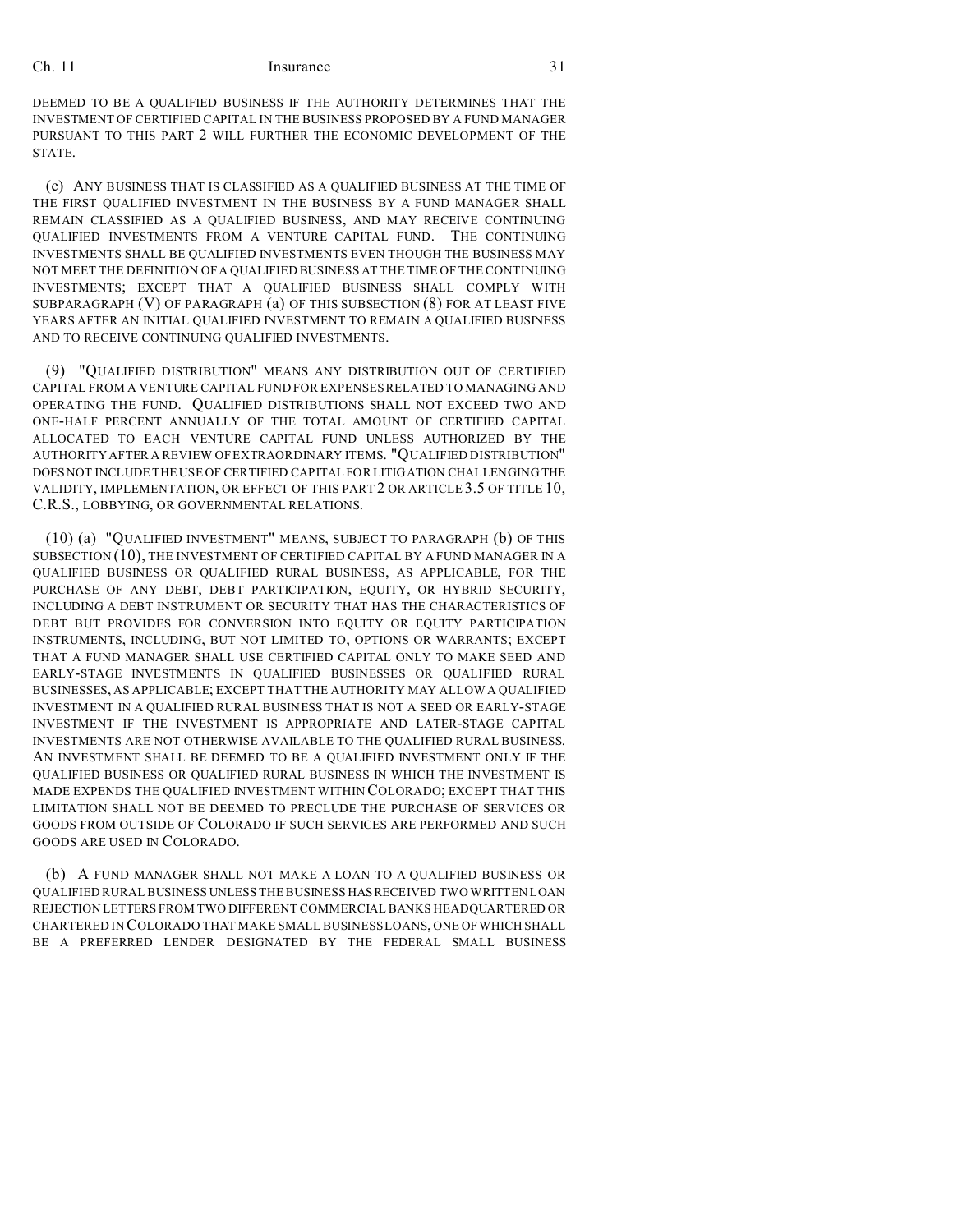DEEMED TO BE A QUALIFIED BUSINESS IF THE AUTHORITY DETERMINES THAT THE INVESTMENT OF CERTIFIED CAPITAL IN THE BUSINESS PROPOSED BY A FUND MANAGER PURSUANT TO THIS PART 2 WILL FURTHER THE ECONOMIC DEVELOPMENT OF THE STATE.

(c) ANY BUSINESS THAT IS CLASSIFIED AS A QUALIFIED BUSINESS AT THE TIME OF THE FIRST QUALIFIED INVESTMENT IN THE BUSINESS BY A FUND MANAGER SHALL REMAIN CLASSIFIED AS A QUALIFIED BUSINESS, AND MAY RECEIVE CONTINUING QUALIFIED INVESTMENTS FROM A VENTURE CAPITAL FUND. THE CONTINUING INVESTMENTS SHALL BE QUALIFIED INVESTMENTS EVEN THOUGH THE BUSINESS MAY NOT MEET THE DEFINITION OF A QUALIFIED BUSINESS AT THE TIME OF THE CONTINUING INVESTMENTS; EXCEPT THAT A QUALIFIED BUSINESS SHALL COMPLY WITH SUBPARAGRAPH (V) OF PARAGRAPH (a) OF THIS SUBSECTION (8) FOR AT LEAST FIVE YEARS AFTER AN INITIAL QUALIFIED INVESTMENT TO REMAIN A QUALIFIED BUSINESS AND TO RECEIVE CONTINUING QUALIFIED INVESTMENTS.

(9) "QUALIFIED DISTRIBUTION" MEANS ANY DISTRIBUTION OUT OF CERTIFIED CAPITAL FROM A VENTURE CAPITAL FUND FOR EXPENSES RELATED TO MANAGING AND OPERATING THE FUND. QUALIFIED DISTRIBUTIONS SHALL NOT EXCEED TWO AND ONE-HALF PERCENT ANNUALLY OF THE TOTAL AMOUNT OF CERTIFIED CAPITAL ALLOCATED TO EACH VENTURE CAPITAL FUND UNLESS AUTHORIZED BY THE AUTHORITY AFTER A REVIEW OF EXTRAORDINARY ITEMS. "QUALIFIED DISTRIBUTION" DOES NOT INCLUDE THE USE OF CERTIFIED CAPITAL FOR LITIGATION CHALLENGING THE VALIDITY, IMPLEMENTATION, OR EFFECT OF THIS PART 2 OR ARTICLE 3.5 OF TITLE 10, C.R.S., LOBBYING, OR GOVERNMENTAL RELATIONS.

(10) (a) "QUALIFIED INVESTMENT" MEANS, SUBJECT TO PARAGRAPH (b) OF THIS SUBSECTION (10), THE INVESTMENT OF CERTIFIED CAPITAL BY A FUND MANAGER IN A QUALIFIED BUSINESS OR QUALIFIED RURAL BUSINESS, AS APPLICABLE, FOR THE PURCHASE OF ANY DEBT, DEBT PARTICIPATION, EQUITY, OR HYBRID SECURITY, INCLUDING A DEBT INSTRUMENT OR SECURITY THAT HAS THE CHARACTERISTICS OF DEBT BUT PROVIDES FOR CONVERSION INTO EQUITY OR EQUITY PARTICIPATION INSTRUMENTS, INCLUDING, BUT NOT LIMITED TO, OPTIONS OR WARRANTS; EXCEPT THAT A FUND MANAGER SHALL USE CERTIFIED CAPITAL ONLY TO MAKE SEED AND EARLY-STAGE INVESTMENTS IN QUALIFIED BUSINESSES OR QUALIFIED RURAL BUSINESSES, AS APPLICABLE; EXCEPT THAT THE AUTHORITY MAY ALLOW A QUALIFIED INVESTMENT IN A QUALIFIED RURAL BUSINESS THAT IS NOT A SEED OR EARLY-STAGE INVESTMENT IF THE INVESTMENT IS APPROPRIATE AND LATER-STAGE CAPITAL INVESTMENTS ARE NOT OTHERWISE AVAILABLE TO THE QUALIFIED RURAL BUSINESS. AN INVESTMENT SHALL BE DEEMED TO BE A QUALIFIED INVESTMENT ONLY IF THE QUALIFIED BUSINESS OR QUALIFIED RURAL BUSINESS IN WHICH THE INVESTMENT IS MADE EXPENDS THE QUALIFIED INVESTMENT WITHIN COLORADO; EXCEPT THAT THIS LIMITATION SHALL NOT BE DEEMED TO PRECLUDE THE PURCHASE OF SERVICES OR GOODS FROM OUTSIDE OF COLORADO IF SUCH SERVICES ARE PERFORMED AND SUCH GOODS ARE USED IN COLORADO.

(b) A FUND MANAGER SHALL NOT MAKE A LOAN TO A QUALIFIED BUSINESS OR QUALIFIED RURAL BUSINESS UNLESS THE BUSINESS HASRECEIVED TWO WRITTEN LOAN REJECTION LETTERS FROM TWO DIFFERENT COMMERCIAL BANKS HEADQUARTERED OR CHARTERED IN COLORADO THAT MAKE SMALL BUSINESS LOANS, ONE OF WHICH SHALL BE A PREFERRED LENDER DESIGNATED BY THE FEDERAL SMALL BUSINESS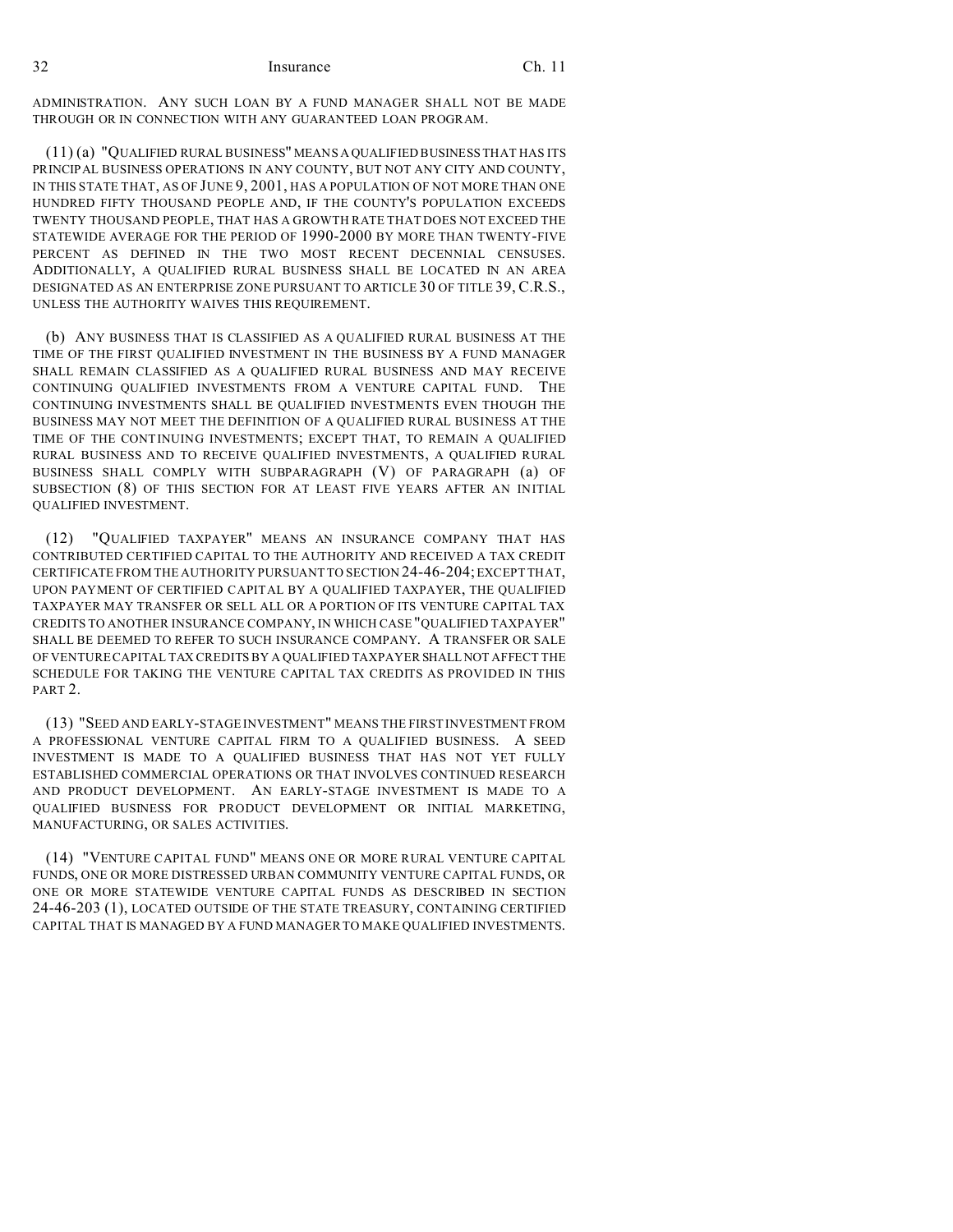ADMINISTRATION. ANY SUCH LOAN BY A FUND MANAGER SHALL NOT BE MADE THROUGH OR IN CONNECTION WITH ANY GUARANTEED LOAN PROGRAM.

(11) (a) "QUALIFIED RURAL BUSINESS" MEANS A QUALIFIED BUSINESS THAT HAS ITS PRINCIPAL BUSINESS OPERATIONS IN ANY COUNTY, BUT NOT ANY CITY AND COUNTY, IN THIS STATE THAT, AS OF JUNE 9, 2001, HAS A POPULATION OF NOT MORE THAN ONE HUNDRED FIFTY THOUSAND PEOPLE AND, IF THE COUNTY'S POPULATION EXCEEDS TWENTY THOUSAND PEOPLE, THAT HAS A GROWTH RATE THAT DOES NOT EXCEED THE STATEWIDE AVERAGE FOR THE PERIOD OF 1990-2000 BY MORE THAN TWENTY-FIVE PERCENT AS DEFINED IN THE TWO MOST RECENT DECENNIAL CENSUSES. ADDITIONALLY, A QUALIFIED RURAL BUSINESS SHALL BE LOCATED IN AN AREA DESIGNATED AS AN ENTERPRISE ZONE PURSUANT TO ARTICLE 30 OF TITLE 39, C.R.S., UNLESS THE AUTHORITY WAIVES THIS REQUIREMENT.

(b) ANY BUSINESS THAT IS CLASSIFIED AS A QUALIFIED RURAL BUSINESS AT THE TIME OF THE FIRST QUALIFIED INVESTMENT IN THE BUSINESS BY A FUND MANAGER SHALL REMAIN CLASSIFIED AS A QUALIFIED RURAL BUSINESS AND MAY RECEIVE CONTINUING QUALIFIED INVESTMENTS FROM A VENTURE CAPITAL FUND. THE CONTINUING INVESTMENTS SHALL BE QUALIFIED INVESTMENTS EVEN THOUGH THE BUSINESS MAY NOT MEET THE DEFINITION OF A QUALIFIED RURAL BUSINESS AT THE TIME OF THE CONTINUING INVESTMENTS; EXCEPT THAT, TO REMAIN A QUALIFIED RURAL BUSINESS AND TO RECEIVE QUALIFIED INVESTMENTS, A QUALIFIED RURAL BUSINESS SHALL COMPLY WITH SUBPARAGRAPH (V) OF PARAGRAPH (a) OF SUBSECTION (8) OF THIS SECTION FOR AT LEAST FIVE YEARS AFTER AN INITIAL QUALIFIED INVESTMENT.

(12) "QUALIFIED TAXPAYER" MEANS AN INSURANCE COMPANY THAT HAS CONTRIBUTED CERTIFIED CAPITAL TO THE AUTHORITY AND RECEIVED A TAX CREDIT CERTIFICATE FROM THE AUTHORITY PURSUANT TO SECTION 24-46-204; EXCEPT THAT, UPON PAYMENT OF CERTIFIED CAPITAL BY A QUALIFIED TAXPAYER, THE QUALIFIED TAXPAYER MAY TRANSFER OR SELL ALL OR A PORTION OF ITS VENTURE CAPITAL TAX CREDITS TO ANOTHER INSURANCE COMPANY, IN WHICH CASE "QUALIFIED TAXPAYER" SHALL BE DEEMED TO REFER TO SUCH INSURANCE COMPANY. A TRANSFER OR SALE OF VENTURE CAPITAL TAX CREDITS BY A QUALIFIED TAXPAYER SHALLNOT AFFECT THE SCHEDULE FOR TAKING THE VENTURE CAPITAL TAX CREDITS AS PROVIDED IN THIS PART 2.

(13) "SEED AND EARLY-STAGE INVESTMENT" MEANS THE FIRST INVESTMENT FROM A PROFESSIONAL VENTURE CAPITAL FIRM TO A QUALIFIED BUSINESS. A SEED INVESTMENT IS MADE TO A QUALIFIED BUSINESS THAT HAS NOT YET FULLY ESTABLISHED COMMERCIAL OPERATIONS OR THAT INVOLVES CONTINUED RESEARCH AND PRODUCT DEVELOPMENT. AN EARLY-STAGE INVESTMENT IS MADE TO A QUALIFIED BUSINESS FOR PRODUCT DEVELOPMENT OR INITIAL MARKETING, MANUFACTURING, OR SALES ACTIVITIES.

(14) "VENTURE CAPITAL FUND" MEANS ONE OR MORE RURAL VENTURE CAPITAL FUNDS, ONE OR MORE DISTRESSED URBAN COMMUNITY VENTURE CAPITAL FUNDS, OR ONE OR MORE STATEWIDE VENTURE CAPITAL FUNDS AS DESCRIBED IN SECTION 24-46-203 (1), LOCATED OUTSIDE OF THE STATE TREASURY, CONTAINING CERTIFIED CAPITAL THAT IS MANAGED BY A FUND MANAGER TO MAKE QUALIFIED INVESTMENTS.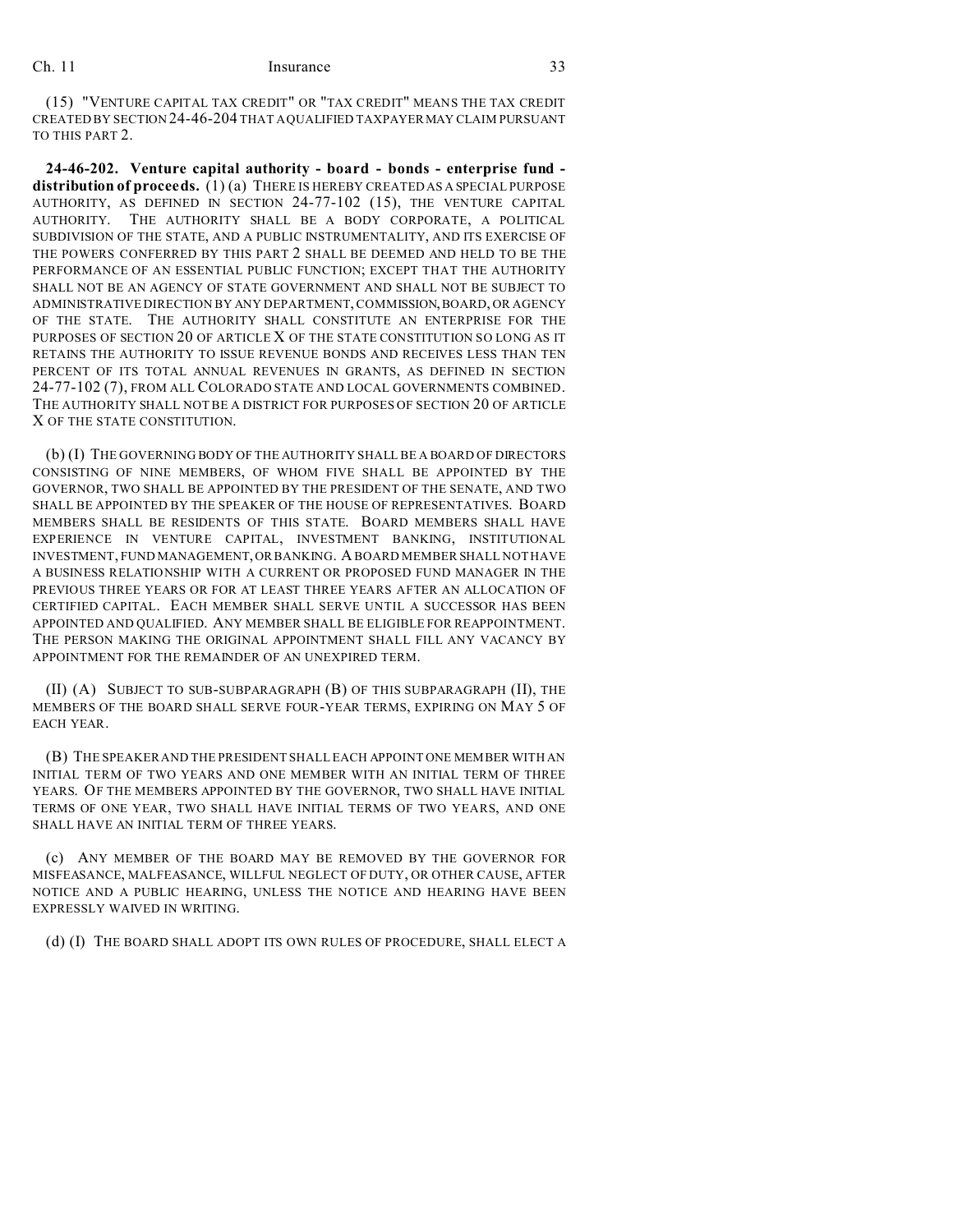(15) "VENTURE CAPITAL TAX CREDIT" OR "TAX CREDIT" MEANS THE TAX CREDIT CREATED BY SECTION 24-46-204 THAT A QUALIFIED TAXPAYERMAY CLAIM PURSUANT TO THIS PART 2.

**24-46-202. Venture capital authority - board - bonds - enterprise fund distribution of proceeds.** (1) (a) THERE IS HEREBY CREATED AS A SPECIAL PURPOSE AUTHORITY, AS DEFINED IN SECTION 24-77-102 (15), THE VENTURE CAPITAL AUTHORITY. THE AUTHORITY SHALL BE A BODY CORPORATE, A POLITICAL SUBDIVISION OF THE STATE, AND A PUBLIC INSTRUMENTALITY, AND ITS EXERCISE OF THE POWERS CONFERRED BY THIS PART 2 SHALL BE DEEMED AND HELD TO BE THE PERFORMANCE OF AN ESSENTIAL PUBLIC FUNCTION; EXCEPT THAT THE AUTHORITY SHALL NOT BE AN AGENCY OF STATE GOVERNMENT AND SHALL NOT BE SUBJECT TO ADMINISTRATIVE DIRECTION BY ANY DEPARTMENT, COMMISSION, BOARD, OR AGENCY OF THE STATE. THE AUTHORITY SHALL CONSTITUTE AN ENTERPRISE FOR THE PURPOSES OF SECTION 20 OF ARTICLE X OF THE STATE CONSTITUTION SO LONG AS IT RETAINS THE AUTHORITY TO ISSUE REVENUE BONDS AND RECEIVES LESS THAN TEN PERCENT OF ITS TOTAL ANNUAL REVENUES IN GRANTS, AS DEFINED IN SECTION 24-77-102 (7), FROM ALL COLORADO STATE AND LOCAL GOVERNMENTS COMBINED. THE AUTHORITY SHALL NOT BE A DISTRICT FOR PURPOSES OF SECTION 20 OF ARTICLE X OF THE STATE CONSTITUTION.

(b) (I) THE GOVERNING BODY OF THE AUTHORITY SHALL BE A BOARD OF DIRECTORS CONSISTING OF NINE MEMBERS, OF WHOM FIVE SHALL BE APPOINTED BY THE GOVERNOR, TWO SHALL BE APPOINTED BY THE PRESIDENT OF THE SENATE, AND TWO SHALL BE APPOINTED BY THE SPEAKER OF THE HOUSE OF REPRESENTATIVES. BOARD MEMBERS SHALL BE RESIDENTS OF THIS STATE. BOARD MEMBERS SHALL HAVE EXPERIENCE IN VENTURE CAPITAL, INVESTMENT BANKING, INSTITUTIONAL INVESTMENT, FUND MANAGEMENT,OR BANKING. A BOARD MEMBER SHALL NOT HAVE A BUSINESS RELATIONSHIP WITH A CURRENT OR PROPOSED FUND MANAGER IN THE PREVIOUS THREE YEARS OR FOR AT LEAST THREE YEARS AFTER AN ALLOCATION OF CERTIFIED CAPITAL. EACH MEMBER SHALL SERVE UNTIL A SUCCESSOR HAS BEEN APPOINTED AND QUALIFIED. ANY MEMBER SHALL BE ELIGIBLE FOR REAPPOINTMENT. THE PERSON MAKING THE ORIGINAL APPOINTMENT SHALL FILL ANY VACANCY BY APPOINTMENT FOR THE REMAINDER OF AN UNEXPIRED TERM.

(II) (A) SUBJECT TO SUB-SUBPARAGRAPH (B) OF THIS SUBPARAGRAPH (II), THE MEMBERS OF THE BOARD SHALL SERVE FOUR-YEAR TERMS, EXPIRING ON MAY 5 OF EACH YEAR.

(B) THE SPEAKER AND THE PRESIDENT SHALL EACH APPOINT ONE MEMBER WITH AN INITIAL TERM OF TWO YEARS AND ONE MEMBER WITH AN INITIAL TERM OF THREE YEARS. OF THE MEMBERS APPOINTED BY THE GOVERNOR, TWO SHALL HAVE INITIAL TERMS OF ONE YEAR, TWO SHALL HAVE INITIAL TERMS OF TWO YEARS, AND ONE SHALL HAVE AN INITIAL TERM OF THREE YEARS.

(c) ANY MEMBER OF THE BOARD MAY BE REMOVED BY THE GOVERNOR FOR MISFEASANCE, MALFEASANCE, WILLFUL NEGLECT OF DUTY, OR OTHER CAUSE, AFTER NOTICE AND A PUBLIC HEARING, UNLESS THE NOTICE AND HEARING HAVE BEEN EXPRESSLY WAIVED IN WRITING.

(d) (I) THE BOARD SHALL ADOPT ITS OWN RULES OF PROCEDURE, SHALL ELECT A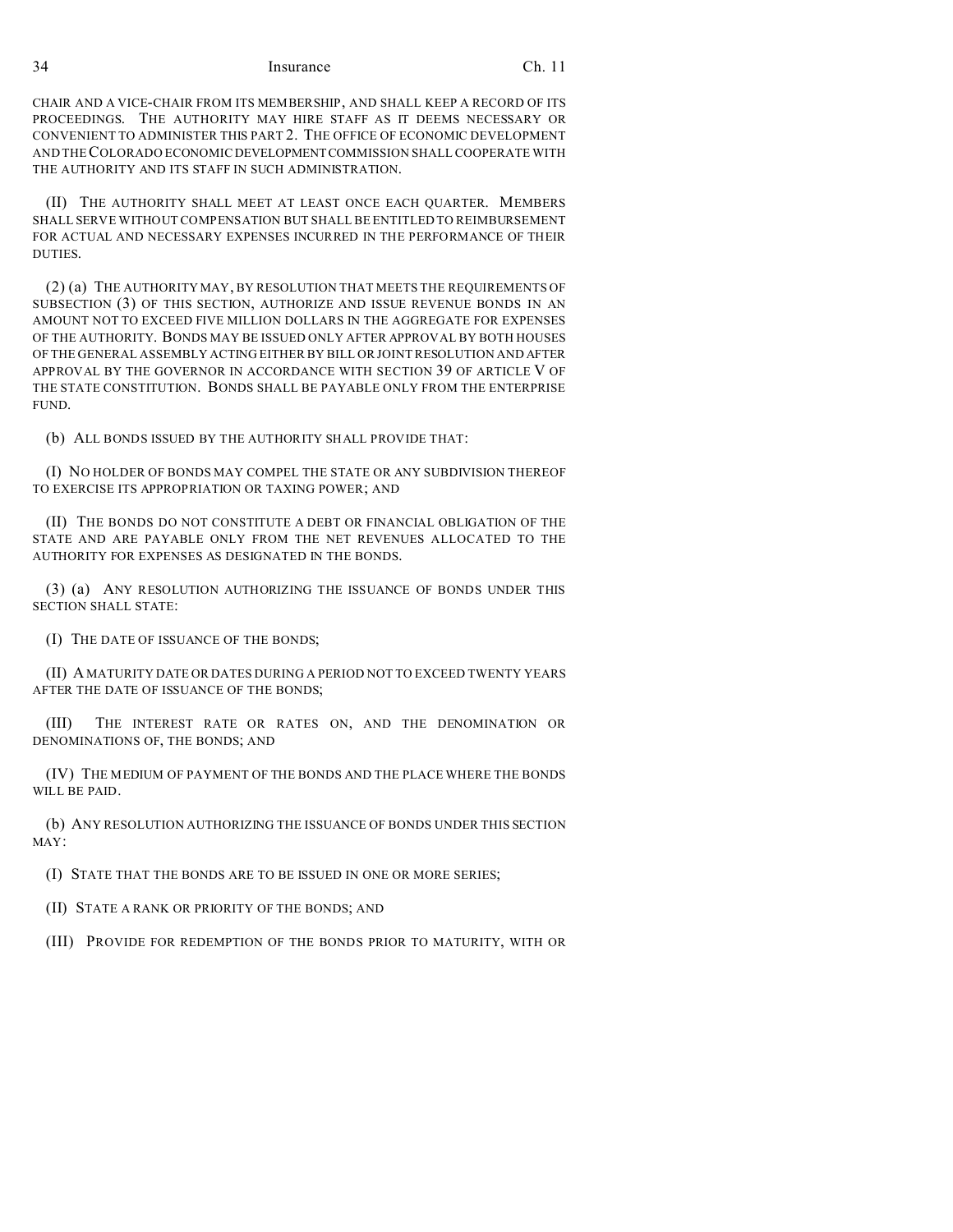CHAIR AND A VICE-CHAIR FROM ITS MEMBERSHIP, AND SHALL KEEP A RECORD OF ITS PROCEEDINGS. THE AUTHORITY MAY HIRE STAFF AS IT DEEMS NECESSARY OR CONVENIENT TO ADMINISTER THIS PART 2. THE OFFICE OF ECONOMIC DEVELOPMENT AND THE COLORADO ECONOMIC DEVELOPMENTCOMMISSION SHALL COOPERATE WITH THE AUTHORITY AND ITS STAFF IN SUCH ADMINISTRATION.

(II) THE AUTHORITY SHALL MEET AT LEAST ONCE EACH QUARTER. MEMBERS SHALL SERVE WITHOUT COMPENSATION BUT SHALL BE ENTITLED TO REIMBURSEMENT FOR ACTUAL AND NECESSARY EXPENSES INCURRED IN THE PERFORMANCE OF THEIR DUTIES.

(2) (a) THE AUTHORITY MAY, BY RESOLUTION THAT MEETS THE REQUIREMENTS OF SUBSECTION (3) OF THIS SECTION, AUTHORIZE AND ISSUE REVENUE BONDS IN AN AMOUNT NOT TO EXCEED FIVE MILLION DOLLARS IN THE AGGREGATE FOR EXPENSES OF THE AUTHORITY. BONDS MAY BE ISSUED ONLY AFTER APPROVAL BY BOTH HOUSES OF THE GENERAL ASSEMBLY ACTING EITHER BY BILL OR JOINT RESOLUTION AND AFTER APPROVAL BY THE GOVERNOR IN ACCORDANCE WITH SECTION 39 OF ARTICLE V OF THE STATE CONSTITUTION. BONDS SHALL BE PAYABLE ONLY FROM THE ENTERPRISE FUND.

(b) ALL BONDS ISSUED BY THE AUTHORITY SHALL PROVIDE THAT:

(I) NO HOLDER OF BONDS MAY COMPEL THE STATE OR ANY SUBDIVISION THEREOF TO EXERCISE ITS APPROPRIATION OR TAXING POWER; AND

(II) THE BONDS DO NOT CONSTITUTE A DEBT OR FINANCIAL OBLIGATION OF THE STATE AND ARE PAYABLE ONLY FROM THE NET REVENUES ALLOCATED TO THE AUTHORITY FOR EXPENSES AS DESIGNATED IN THE BONDS.

(3) (a) ANY RESOLUTION AUTHORIZING THE ISSUANCE OF BONDS UNDER THIS SECTION SHALL STATE:

(I) THE DATE OF ISSUANCE OF THE BONDS;

(II) A MATURITY DATE OR DATES DURING A PERIOD NOT TO EXCEED TWENTY YEARS AFTER THE DATE OF ISSUANCE OF THE BONDS;

(III) THE INTEREST RATE OR RATES ON, AND THE DENOMINATION OR DENOMINATIONS OF, THE BONDS; AND

(IV) THE MEDIUM OF PAYMENT OF THE BONDS AND THE PLACE WHERE THE BONDS WILL BE PAID.

(b) ANY RESOLUTION AUTHORIZING THE ISSUANCE OF BONDS UNDER THIS SECTION MAY:

(I) STATE THAT THE BONDS ARE TO BE ISSUED IN ONE OR MORE SERIES;

(II) STATE A RANK OR PRIORITY OF THE BONDS; AND

(III) PROVIDE FOR REDEMPTION OF THE BONDS PRIOR TO MATURITY, WITH OR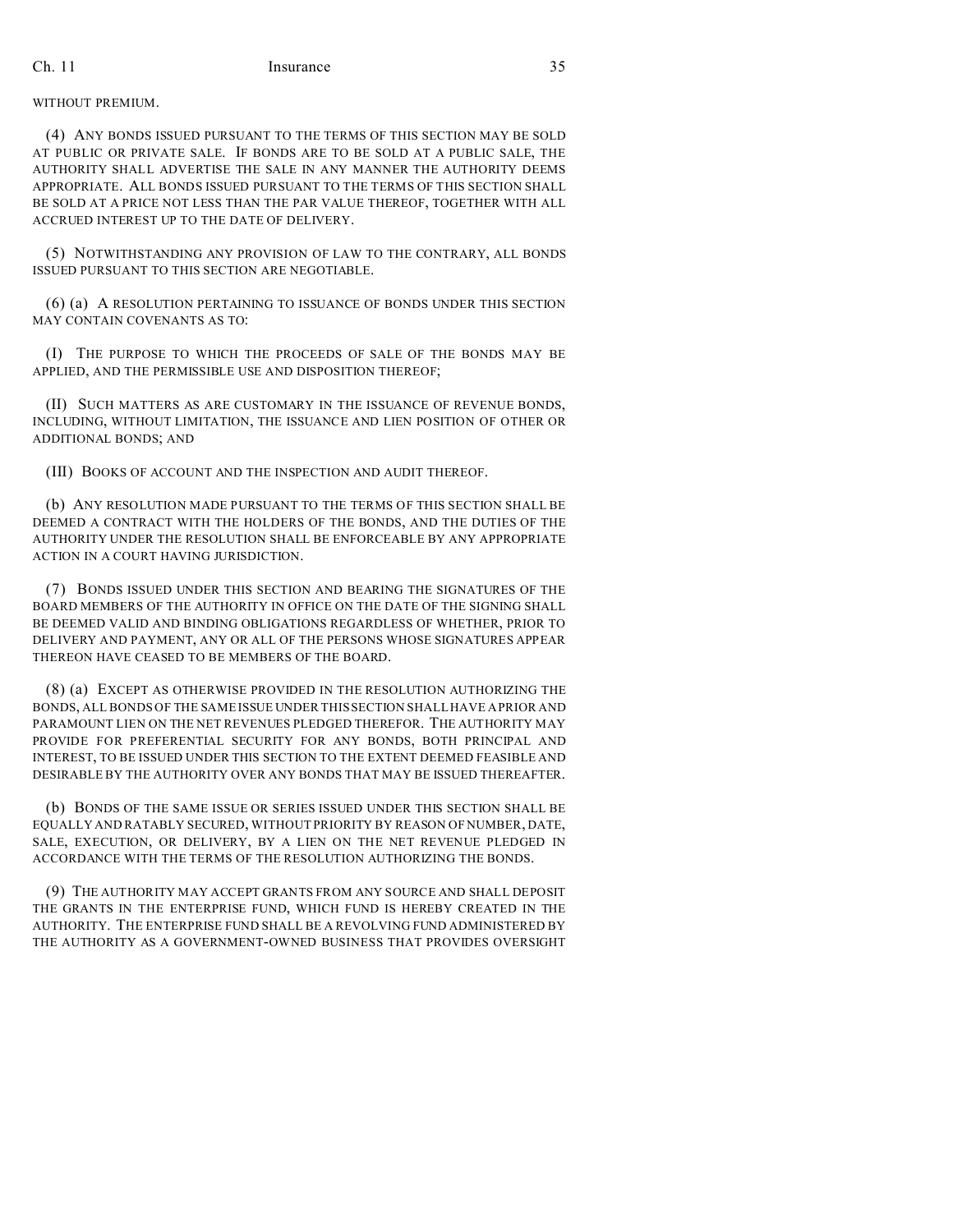# WITHOUT PREMIUM.

(4) ANY BONDS ISSUED PURSUANT TO THE TERMS OF THIS SECTION MAY BE SOLD AT PUBLIC OR PRIVATE SALE. IF BONDS ARE TO BE SOLD AT A PUBLIC SALE, THE AUTHORITY SHALL ADVERTISE THE SALE IN ANY MANNER THE AUTHORITY DEEMS APPROPRIATE. ALL BONDS ISSUED PURSUANT TO THE TERMS OF THIS SECTION SHALL BE SOLD AT A PRICE NOT LESS THAN THE PAR VALUE THEREOF, TOGETHER WITH ALL ACCRUED INTEREST UP TO THE DATE OF DELIVERY.

(5) NOTWITHSTANDING ANY PROVISION OF LAW TO THE CONTRARY, ALL BONDS ISSUED PURSUANT TO THIS SECTION ARE NEGOTIABLE.

(6) (a) A RESOLUTION PERTAINING TO ISSUANCE OF BONDS UNDER THIS SECTION MAY CONTAIN COVENANTS AS TO:

(I) THE PURPOSE TO WHICH THE PROCEEDS OF SALE OF THE BONDS MAY BE APPLIED, AND THE PERMISSIBLE USE AND DISPOSITION THEREOF;

(II) SUCH MATTERS AS ARE CUSTOMARY IN THE ISSUANCE OF REVENUE BONDS, INCLUDING, WITHOUT LIMITATION, THE ISSUANCE AND LIEN POSITION OF OTHER OR ADDITIONAL BONDS; AND

(III) BOOKS OF ACCOUNT AND THE INSPECTION AND AUDIT THEREOF.

(b) ANY RESOLUTION MADE PURSUANT TO THE TERMS OF THIS SECTION SHALL BE DEEMED A CONTRACT WITH THE HOLDERS OF THE BONDS, AND THE DUTIES OF THE AUTHORITY UNDER THE RESOLUTION SHALL BE ENFORCEABLE BY ANY APPROPRIATE ACTION IN A COURT HAVING JURISDICTION.

(7) BONDS ISSUED UNDER THIS SECTION AND BEARING THE SIGNATURES OF THE BOARD MEMBERS OF THE AUTHORITY IN OFFICE ON THE DATE OF THE SIGNING SHALL BE DEEMED VALID AND BINDING OBLIGATIONS REGARDLESS OF WHETHER, PRIOR TO DELIVERY AND PAYMENT, ANY OR ALL OF THE PERSONS WHOSE SIGNATURES APPEAR THEREON HAVE CEASED TO BE MEMBERS OF THE BOARD.

(8) (a) EXCEPT AS OTHERWISE PROVIDED IN THE RESOLUTION AUTHORIZING THE BONDS, ALL BONDS OF THE SAME ISSUE UNDER THIS SECTION SHALL HAVE A PRIOR AND PARAMOUNT LIEN ON THE NET REVENUES PLEDGED THEREFOR. THE AUTHORITY MAY PROVIDE FOR PREFERENTIAL SECURITY FOR ANY BONDS, BOTH PRINCIPAL AND INTEREST, TO BE ISSUED UNDER THIS SECTION TO THE EXTENT DEEMED FEASIBLE AND DESIRABLE BY THE AUTHORITY OVER ANY BONDS THAT MAY BE ISSUED THEREAFTER.

(b) BONDS OF THE SAME ISSUE OR SERIES ISSUED UNDER THIS SECTION SHALL BE EQUALLY AND RATABLY SECURED, WITHOUT PRIORITY BY REASON OF NUMBER, DATE, SALE, EXECUTION, OR DELIVERY, BY A LIEN ON THE NET REVENUE PLEDGED IN ACCORDANCE WITH THE TERMS OF THE RESOLUTION AUTHORIZING THE BONDS.

(9) THE AUTHORITY MAY ACCEPT GRANTS FROM ANY SOURCE AND SHALL DEPOSIT THE GRANTS IN THE ENTERPRISE FUND, WHICH FUND IS HEREBY CREATED IN THE AUTHORITY. THE ENTERPRISE FUND SHALL BE A REVOLVING FUND ADMINISTERED BY THE AUTHORITY AS A GOVERNMENT-OWNED BUSINESS THAT PROVIDES OVERSIGHT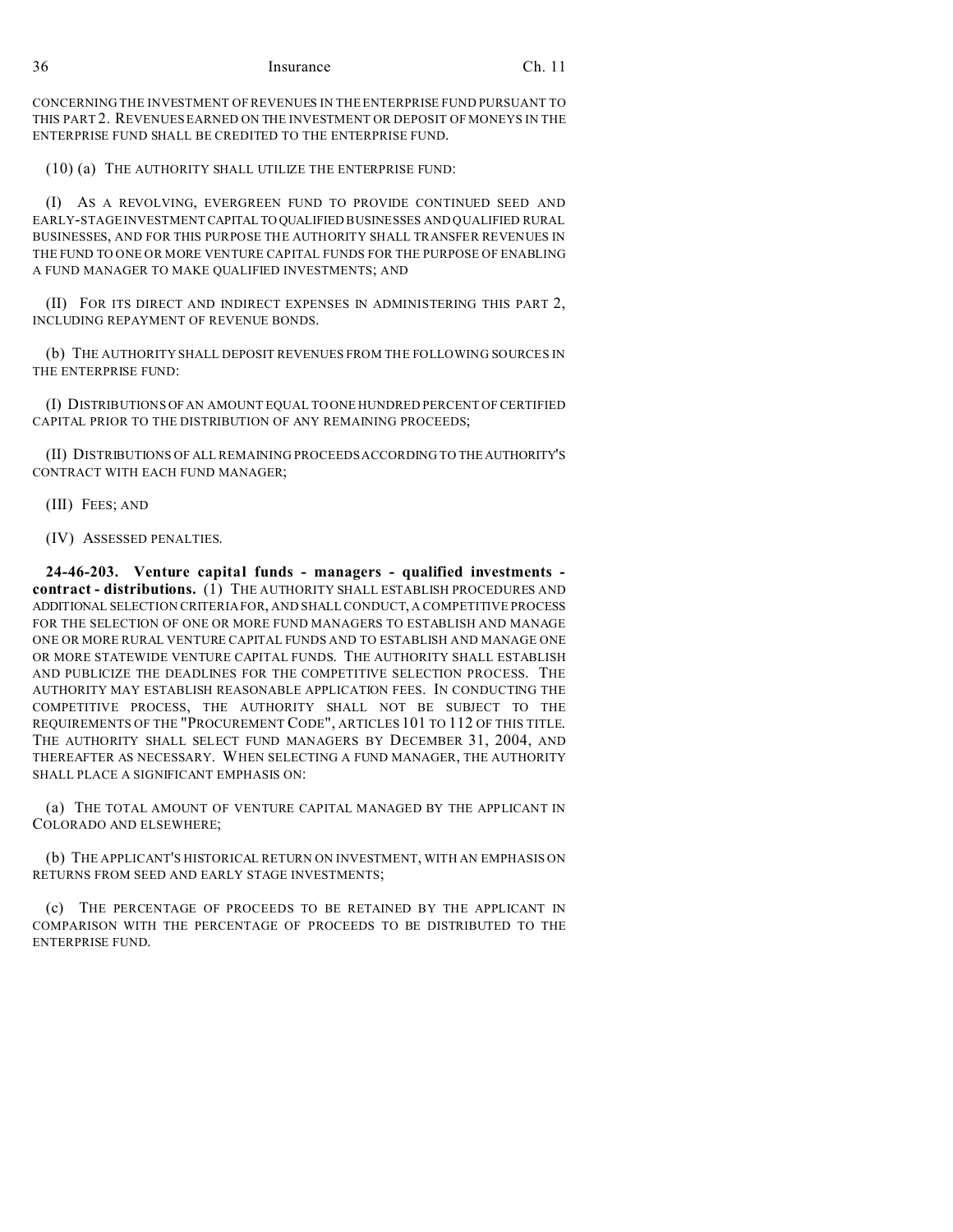CONCERNING THE INVESTMENT OF REVENUES IN THE ENTERPRISE FUND PURSUANT TO THIS PART 2. REVENUES EARNED ON THE INVESTMENT OR DEPOSIT OF MONEYS IN THE ENTERPRISE FUND SHALL BE CREDITED TO THE ENTERPRISE FUND.

(10) (a) THE AUTHORITY SHALL UTILIZE THE ENTERPRISE FUND:

(I) AS A REVOLVING, EVERGREEN FUND TO PROVIDE CONTINUED SEED AND EARLY-STAGE INVESTMENT CAPITAL TO QUALIFIED BUSINESSES AND QUALIFIED RURAL BUSINESSES, AND FOR THIS PURPOSE THE AUTHORITY SHALL TRANSFER REVENUES IN THE FUND TO ONE OR MORE VENTURE CAPITAL FUNDS FOR THE PURPOSE OF ENABLING A FUND MANAGER TO MAKE QUALIFIED INVESTMENTS; AND

(II) FOR ITS DIRECT AND INDIRECT EXPENSES IN ADMINISTERING THIS PART 2, INCLUDING REPAYMENT OF REVENUE BONDS.

(b) THE AUTHORITY SHALL DEPOSIT REVENUES FROM THE FOLLOWING SOURCES IN THE ENTERPRISE FUND:

(I) DISTRIBUTIONS OF AN AMOUNT EQUAL TO ONE HUNDRED PERCENT OF CERTIFIED CAPITAL PRIOR TO THE DISTRIBUTION OF ANY REMAINING PROCEEDS;

(II) DISTRIBUTIONS OF ALL REMAINING PROCEEDS ACCORDING TO THEAUTHORITY'S CONTRACT WITH EACH FUND MANAGER;

(III) FEES; AND

(IV) ASSESSED PENALTIES.

**24-46-203. Venture capital funds - managers - qualified investments contract - distributions.** (1) THE AUTHORITY SHALL ESTABLISH PROCEDURES AND ADDITIONAL SELECTION CRITERIA FOR, AND SHALL CONDUCT, A COMPETITIVE PROCESS FOR THE SELECTION OF ONE OR MORE FUND MANAGERS TO ESTABLISH AND MANAGE ONE OR MORE RURAL VENTURE CAPITAL FUNDS AND TO ESTABLISH AND MANAGE ONE OR MORE STATEWIDE VENTURE CAPITAL FUNDS. THE AUTHORITY SHALL ESTABLISH AND PUBLICIZE THE DEADLINES FOR THE COMPETITIVE SELECTION PROCESS. THE AUTHORITY MAY ESTABLISH REASONABLE APPLICATION FEES. IN CONDUCTING THE COMPETITIVE PROCESS, THE AUTHORITY SHALL NOT BE SUBJECT TO THE REQUIREMENTS OF THE "PROCUREMENT CODE", ARTICLES 101 TO 112 OF THIS TITLE. THE AUTHORITY SHALL SELECT FUND MANAGERS BY DECEMBER 31, 2004, AND THEREAFTER AS NECESSARY. WHEN SELECTING A FUND MANAGER, THE AUTHORITY SHALL PLACE A SIGNIFICANT EMPHASIS ON:

(a) THE TOTAL AMOUNT OF VENTURE CAPITAL MANAGED BY THE APPLICANT IN COLORADO AND ELSEWHERE;

(b) THE APPLICANT'S HISTORICAL RETURN ON INVESTMENT, WITH AN EMPHASIS ON RETURNS FROM SEED AND EARLY STAGE INVESTMENTS;

(c) THE PERCENTAGE OF PROCEEDS TO BE RETAINED BY THE APPLICANT IN COMPARISON WITH THE PERCENTAGE OF PROCEEDS TO BE DISTRIBUTED TO THE ENTERPRISE FUND.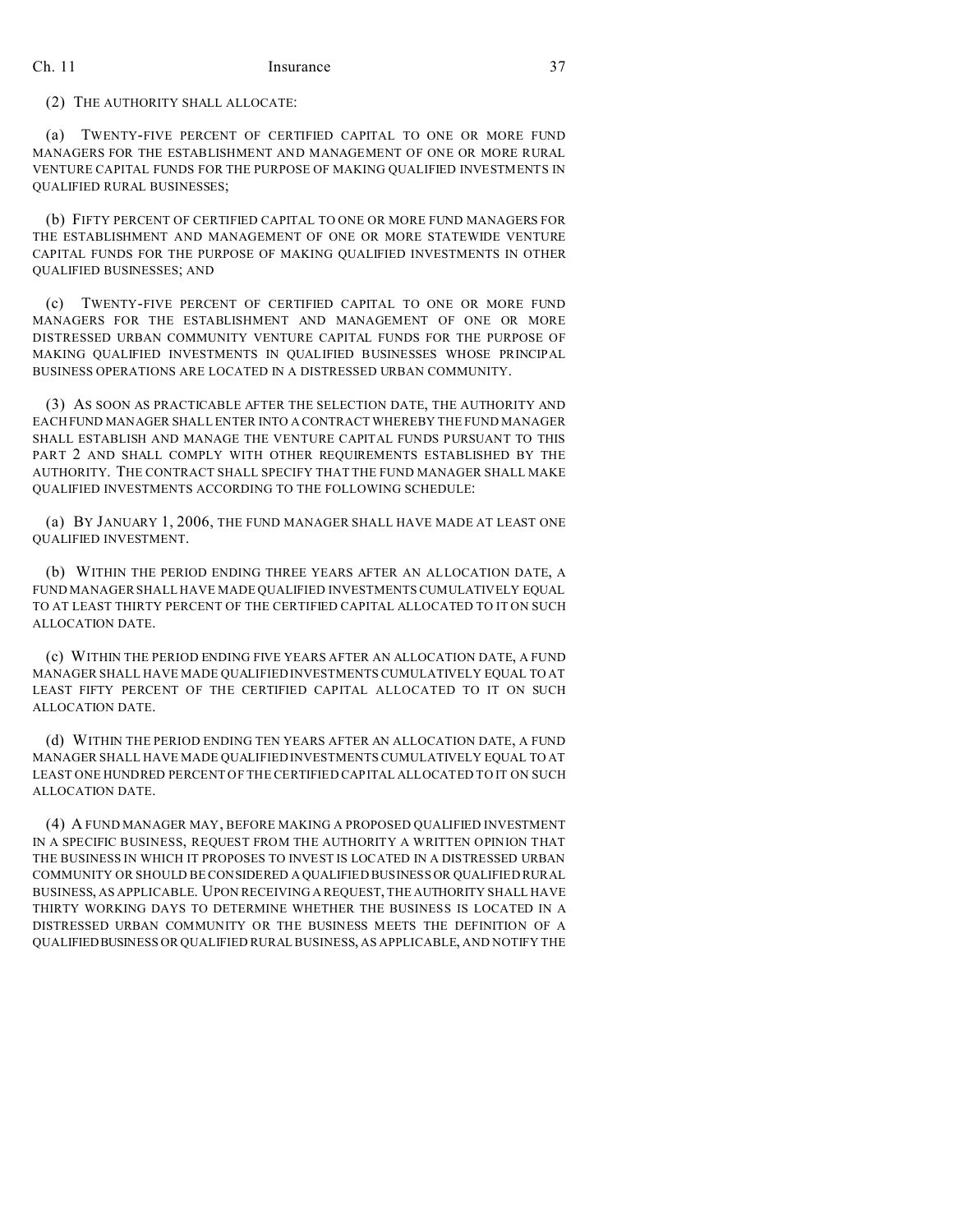# (2) THE AUTHORITY SHALL ALLOCATE:

(a) TWENTY-FIVE PERCENT OF CERTIFIED CAPITAL TO ONE OR MORE FUND MANAGERS FOR THE ESTABLISHMENT AND MANAGEMENT OF ONE OR MORE RURAL VENTURE CAPITAL FUNDS FOR THE PURPOSE OF MAKING QUALIFIED INVESTMENTS IN QUALIFIED RURAL BUSINESSES;

(b) FIFTY PERCENT OF CERTIFIED CAPITAL TO ONE OR MORE FUND MANAGERS FOR THE ESTABLISHMENT AND MANAGEMENT OF ONE OR MORE STATEWIDE VENTURE CAPITAL FUNDS FOR THE PURPOSE OF MAKING QUALIFIED INVESTMENTS IN OTHER QUALIFIED BUSINESSES; AND

(c) TWENTY-FIVE PERCENT OF CERTIFIED CAPITAL TO ONE OR MORE FUND MANAGERS FOR THE ESTABLISHMENT AND MANAGEMENT OF ONE OR MORE DISTRESSED URBAN COMMUNITY VENTURE CAPITAL FUNDS FOR THE PURPOSE OF MAKING QUALIFIED INVESTMENTS IN QUALIFIED BUSINESSES WHOSE PRINCIPAL BUSINESS OPERATIONS ARE LOCATED IN A DISTRESSED URBAN COMMUNITY.

(3) AS SOON AS PRACTICABLE AFTER THE SELECTION DATE, THE AUTHORITY AND EACH FUND MANAGER SHALL ENTER INTO A CONTRACT WHEREBY THE FUND MANAGER SHALL ESTABLISH AND MANAGE THE VENTURE CAPITAL FUNDS PURSUANT TO THIS PART 2 AND SHALL COMPLY WITH OTHER REQUIREMENTS ESTABLISHED BY THE AUTHORITY. THE CONTRACT SHALL SPECIFY THAT THE FUND MANAGER SHALL MAKE QUALIFIED INVESTMENTS ACCORDING TO THE FOLLOWING SCHEDULE:

(a) BY JANUARY 1, 2006, THE FUND MANAGER SHALL HAVE MADE AT LEAST ONE QUALIFIED INVESTMENT.

(b) WITHIN THE PERIOD ENDING THREE YEARS AFTER AN ALLOCATION DATE, A FUND MANAGER SHALL HAVE MADE QUALIFIED INVESTMENTS CUMULATIVELY EQUAL TO AT LEAST THIRTY PERCENT OF THE CERTIFIED CAPITAL ALLOCATED TO IT ON SUCH ALLOCATION DATE.

(c) WITHIN THE PERIOD ENDING FIVE YEARS AFTER AN ALLOCATION DATE, A FUND MANAGER SHALL HAVE MADE QUALIFIED INVESTMENTS CUMULATIVELY EQUAL TO AT LEAST FIFTY PERCENT OF THE CERTIFIED CAPITAL ALLOCATED TO IT ON SUCH ALLOCATION DATE.

(d) WITHIN THE PERIOD ENDING TEN YEARS AFTER AN ALLOCATION DATE, A FUND MANAGER SHALL HAVE MADE QUALIFIED INVESTMENTS CUMULATIVELY EQUAL TO AT LEAST ONE HUNDRED PERCENT OF THE CERTIFIED CAPITAL ALLOCATED TO IT ON SUCH ALLOCATION DATE.

(4) A FUND MANAGER MAY, BEFORE MAKING A PROPOSED QUALIFIED INVESTMENT IN A SPECIFIC BUSINESS, REQUEST FROM THE AUTHORITY A WRITTEN OPINION THAT THE BUSINESS IN WHICH IT PROPOSES TO INVEST IS LOCATED IN A DISTRESSED URBAN COMMUNITY OR SHOULD BE CONSIDERED A QUALIFIED BUSINESS OR QUALIFIED RURAL BUSINESS, AS APPLICABLE. UPON RECEIVING A REQUEST, THE AUTHORITY SHALL HAVE THIRTY WORKING DAYS TO DETERMINE WHETHER THE BUSINESS IS LOCATED IN A DISTRESSED URBAN COMMUNITY OR THE BUSINESS MEETS THE DEFINITION OF A QUALIFIEDBUSINESS OR QUALIFIED RURAL BUSINESS, AS APPLICABLE, AND NOTIFY THE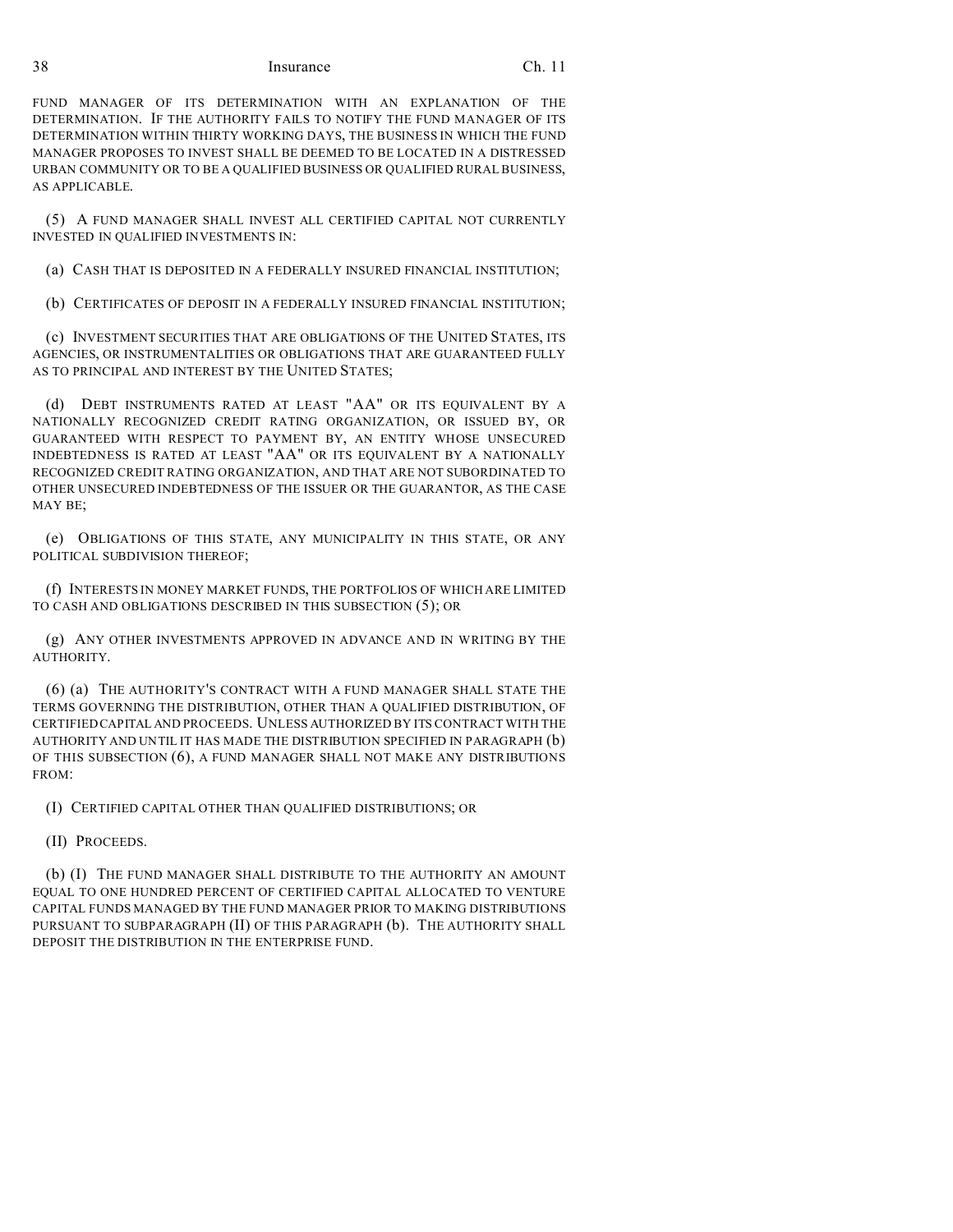FUND MANAGER OF ITS DETERMINATION WITH AN EXPLANATION OF THE DETERMINATION. IF THE AUTHORITY FAILS TO NOTIFY THE FUND MANAGER OF ITS DETERMINATION WITHIN THIRTY WORKING DAYS, THE BUSINESS IN WHICH THE FUND MANAGER PROPOSES TO INVEST SHALL BE DEEMED TO BE LOCATED IN A DISTRESSED URBAN COMMUNITY OR TO BE A QUALIFIED BUSINESS OR QUALIFIED RURAL BUSINESS, AS APPLICABLE.

(5) A FUND MANAGER SHALL INVEST ALL CERTIFIED CAPITAL NOT CURRENTLY INVESTED IN QUALIFIED INVESTMENTS IN:

(a) CASH THAT IS DEPOSITED IN A FEDERALLY INSURED FINANCIAL INSTITUTION;

(b) CERTIFICATES OF DEPOSIT IN A FEDERALLY INSURED FINANCIAL INSTITUTION;

(c) INVESTMENT SECURITIES THAT ARE OBLIGATIONS OF THE UNITED STATES, ITS AGENCIES, OR INSTRUMENTALITIES OR OBLIGATIONS THAT ARE GUARANTEED FULLY AS TO PRINCIPAL AND INTEREST BY THE UNITED STATES;

(d) DEBT INSTRUMENTS RATED AT LEAST "AA" OR ITS EQUIVALENT BY A NATIONALLY RECOGNIZED CREDIT RATING ORGANIZATION, OR ISSUED BY, OR GUARANTEED WITH RESPECT TO PAYMENT BY, AN ENTITY WHOSE UNSECURED INDEBTEDNESS IS RATED AT LEAST "AA" OR ITS EQUIVALENT BY A NATIONALLY RECOGNIZED CREDIT RATING ORGANIZATION, AND THAT ARE NOT SUBORDINATED TO OTHER UNSECURED INDEBTEDNESS OF THE ISSUER OR THE GUARANTOR, AS THE CASE MAY BE;

(e) OBLIGATIONS OF THIS STATE, ANY MUNICIPALITY IN THIS STATE, OR ANY POLITICAL SUBDIVISION THEREOF;

(f) INTERESTS IN MONEY MARKET FUNDS, THE PORTFOLIOS OF WHICH ARE LIMITED TO CASH AND OBLIGATIONS DESCRIBED IN THIS SUBSECTION (5); OR

(g) ANY OTHER INVESTMENTS APPROVED IN ADVANCE AND IN WRITING BY THE AUTHORITY.

(6) (a) THE AUTHORITY'S CONTRACT WITH A FUND MANAGER SHALL STATE THE TERMS GOVERNING THE DISTRIBUTION, OTHER THAN A QUALIFIED DISTRIBUTION, OF CERTIFIED CAPITAL AND PROCEEDS. UNLESS AUTHORIZED BY ITS CONTRACT WITH THE AUTHORITY AND UNTIL IT HAS MADE THE DISTRIBUTION SPECIFIED IN PARAGRAPH (b) OF THIS SUBSECTION (6), A FUND MANAGER SHALL NOT MAKE ANY DISTRIBUTIONS FROM:

(I) CERTIFIED CAPITAL OTHER THAN QUALIFIED DISTRIBUTIONS; OR

(II) PROCEEDS.

(b) (I) THE FUND MANAGER SHALL DISTRIBUTE TO THE AUTHORITY AN AMOUNT EQUAL TO ONE HUNDRED PERCENT OF CERTIFIED CAPITAL ALLOCATED TO VENTURE CAPITAL FUNDS MANAGED BY THE FUND MANAGER PRIOR TO MAKING DISTRIBUTIONS PURSUANT TO SUBPARAGRAPH (II) OF THIS PARAGRAPH (b). THE AUTHORITY SHALL DEPOSIT THE DISTRIBUTION IN THE ENTERPRISE FUND.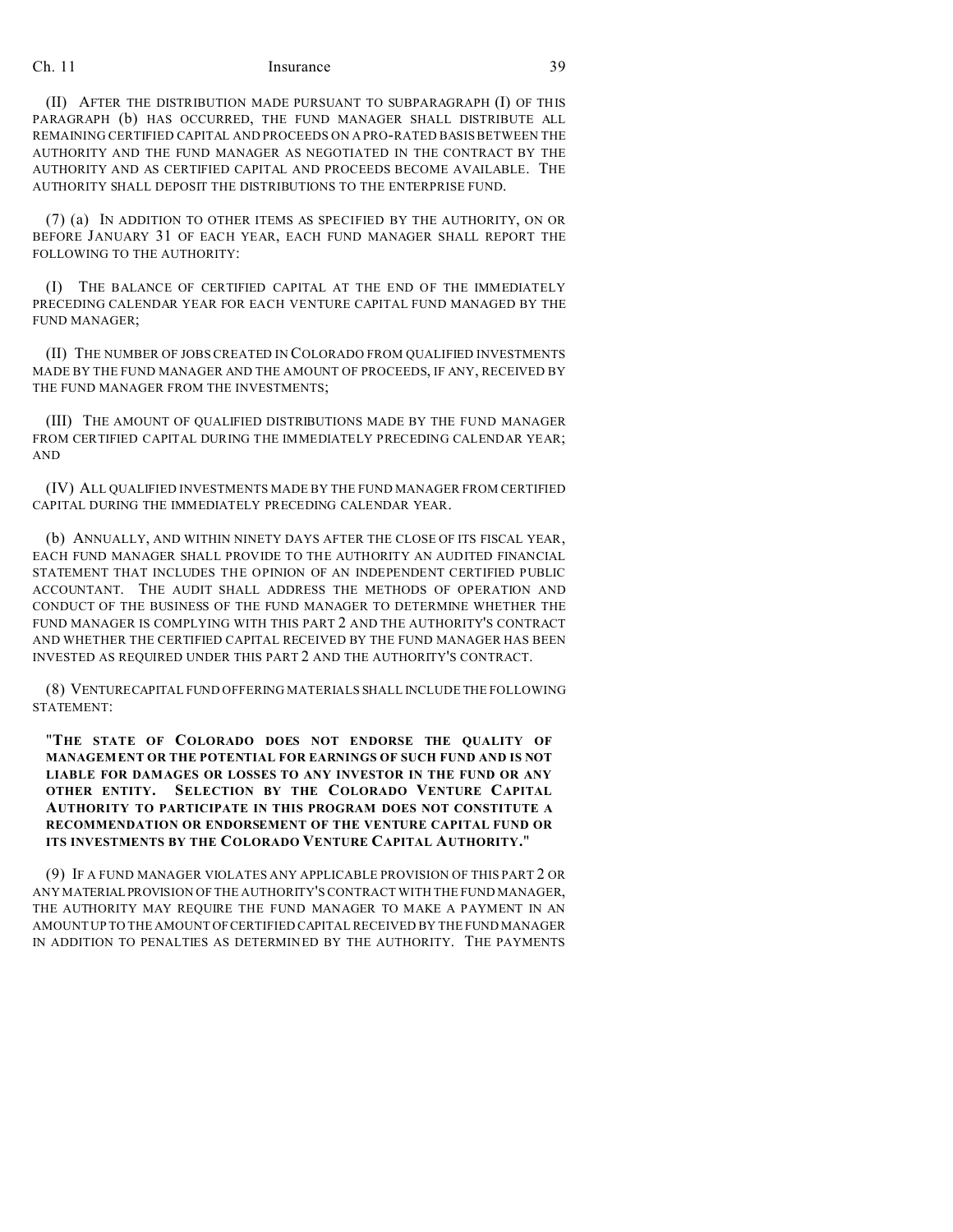(II) AFTER THE DISTRIBUTION MADE PURSUANT TO SUBPARAGRAPH (I) OF THIS PARAGRAPH (b) HAS OCCURRED, THE FUND MANAGER SHALL DISTRIBUTE ALL REMAINING CERTIFIED CAPITAL AND PROCEEDS ON A PRO-RATED BASIS BETWEEN THE AUTHORITY AND THE FUND MANAGER AS NEGOTIATED IN THE CONTRACT BY THE AUTHORITY AND AS CERTIFIED CAPITAL AND PROCEEDS BECOME AVAILABLE. THE AUTHORITY SHALL DEPOSIT THE DISTRIBUTIONS TO THE ENTERPRISE FUND.

(7) (a) IN ADDITION TO OTHER ITEMS AS SPECIFIED BY THE AUTHORITY, ON OR BEFORE JANUARY 31 OF EACH YEAR, EACH FUND MANAGER SHALL REPORT THE FOLLOWING TO THE AUTHORITY:

(I) THE BALANCE OF CERTIFIED CAPITAL AT THE END OF THE IMMEDIATELY PRECEDING CALENDAR YEAR FOR EACH VENTURE CAPITAL FUND MANAGED BY THE FUND MANAGER;

(II) THE NUMBER OF JOBS CREATED IN COLORADO FROM QUALIFIED INVESTMENTS MADE BY THE FUND MANAGER AND THE AMOUNT OF PROCEEDS, IF ANY, RECEIVED BY THE FUND MANAGER FROM THE INVESTMENTS;

(III) THE AMOUNT OF QUALIFIED DISTRIBUTIONS MADE BY THE FUND MANAGER FROM CERTIFIED CAPITAL DURING THE IMMEDIATELY PRECEDING CALENDAR YEAR; AND

(IV) ALL QUALIFIED INVESTMENTS MADE BY THE FUND MANAGER FROM CERTIFIED CAPITAL DURING THE IMMEDIATELY PRECEDING CALENDAR YEAR.

(b) ANNUALLY, AND WITHIN NINETY DAYS AFTER THE CLOSE OF ITS FISCAL YEAR, EACH FUND MANAGER SHALL PROVIDE TO THE AUTHORITY AN AUDITED FINANCIAL STATEMENT THAT INCLUDES THE OPINION OF AN INDEPENDENT CERTIFIED PUBLIC ACCOUNTANT. THE AUDIT SHALL ADDRESS THE METHODS OF OPERATION AND CONDUCT OF THE BUSINESS OF THE FUND MANAGER TO DETERMINE WHETHER THE FUND MANAGER IS COMPLYING WITH THIS PART 2 AND THE AUTHORITY'S CONTRACT AND WHETHER THE CERTIFIED CAPITAL RECEIVED BY THE FUND MANAGER HAS BEEN INVESTED AS REQUIRED UNDER THIS PART 2 AND THE AUTHORITY'S CONTRACT.

(8) VENTURECAPITAL FUND OFFERING MATERIALS SHALL INCLUDE THE FOLLOWING STATEMENT:

"**THE STATE OF COLORADO DOES NOT ENDORSE THE QUALITY OF MANAGEMENT OR THE POTENTIAL FOR EARNINGS OF SUCH FUND AND IS NOT LIABLE FOR DAMAGES OR LOSSES TO ANY INVESTOR IN THE FUND OR ANY OTHER ENTITY. SELECTION BY THE COLORADO VENTURE CAPITAL AUTHORITY TO PARTICIPATE IN THIS PROGRAM DOES NOT CONSTITUTE A RECOMMENDATION OR ENDORSEMENT OF THE VENTURE CAPITAL FUND OR ITS INVESTMENTS BY THE COLORADO VENTURE CAPITAL AUTHORITY.**"

(9) IF A FUND MANAGER VIOLATES ANY APPLICABLE PROVISION OF THIS PART 2 OR ANY MATERIALPROVISION OF THE AUTHORITY'S CONTRACT WITH THE FUND MANAGER, THE AUTHORITY MAY REQUIRE THE FUND MANAGER TO MAKE A PAYMENT IN AN AMOUNT UP TO THE AMOUNT OFCERTIFIED CAPITAL RECEIVED BY THE FUND MANAGER IN ADDITION TO PENALTIES AS DETERMINED BY THE AUTHORITY. THE PAYMENTS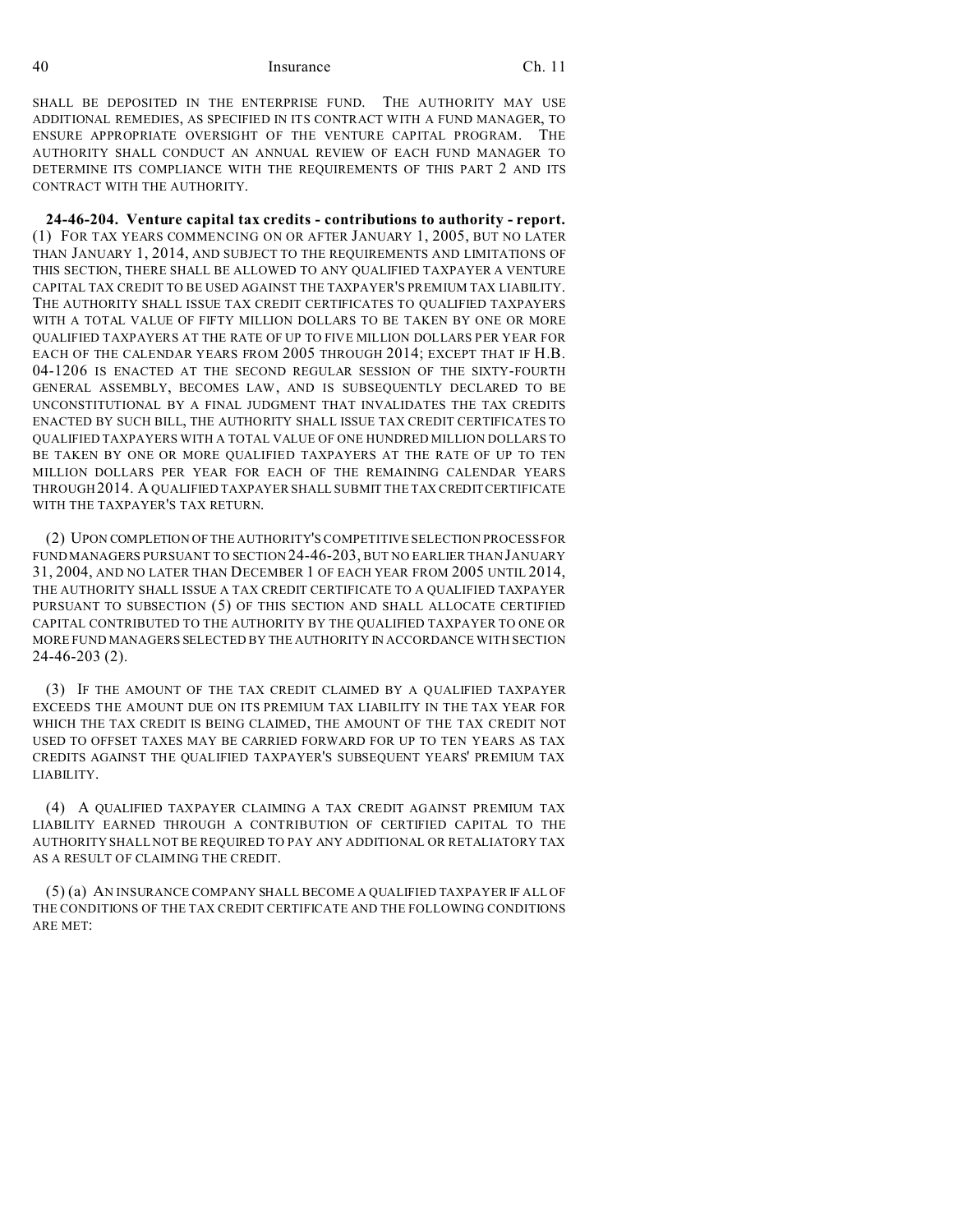SHALL BE DEPOSITED IN THE ENTERPRISE FUND. THE AUTHORITY MAY USE ADDITIONAL REMEDIES, AS SPECIFIED IN ITS CONTRACT WITH A FUND MANAGER, TO ENSURE APPROPRIATE OVERSIGHT OF THE VENTURE CAPITAL PROGRAM. THE AUTHORITY SHALL CONDUCT AN ANNUAL REVIEW OF EACH FUND MANAGER TO DETERMINE ITS COMPLIANCE WITH THE REQUIREMENTS OF THIS PART 2 AND ITS CONTRACT WITH THE AUTHORITY.

**24-46-204. Venture capital tax credits - contributions to authority - report.** (1) FOR TAX YEARS COMMENCING ON OR AFTER JANUARY 1, 2005, BUT NO LATER THAN JANUARY 1, 2014, AND SUBJECT TO THE REQUIREMENTS AND LIMITATIONS OF THIS SECTION, THERE SHALL BE ALLOWED TO ANY QUALIFIED TAXPAYER A VENTURE CAPITAL TAX CREDIT TO BE USED AGAINST THE TAXPAYER'S PREMIUM TAX LIABILITY. THE AUTHORITY SHALL ISSUE TAX CREDIT CERTIFICATES TO QUALIFIED TAXPAYERS WITH A TOTAL VALUE OF FIFTY MILLION DOLLARS TO BE TAKEN BY ONE OR MORE QUALIFIED TAXPAYERS AT THE RATE OF UP TO FIVE MILLION DOLLARS PER YEAR FOR EACH OF THE CALENDAR YEARS FROM 2005 THROUGH 2014; EXCEPT THAT IF H.B. 04-1206 IS ENACTED AT THE SECOND REGULAR SESSION OF THE SIXTY-FOURTH GENERAL ASSEMBLY, BECOMES LAW, AND IS SUBSEQUENTLY DECLARED TO BE UNCONSTITUTIONAL BY A FINAL JUDGMENT THAT INVALIDATES THE TAX CREDITS ENACTED BY SUCH BILL, THE AUTHORITY SHALL ISSUE TAX CREDIT CERTIFICATES TO QUALIFIED TAXPAYERS WITH A TOTAL VALUE OF ONE HUNDRED MILLION DOLLARS TO BE TAKEN BY ONE OR MORE QUALIFIED TAXPAYERS AT THE RATE OF UP TO TEN MILLION DOLLARS PER YEAR FOR EACH OF THE REMAINING CALENDAR YEARS THROUGH2014. A QUALIFIED TAXPAYER SHALL SUBMIT THE TAX CREDITCERTIFICATE WITH THE TAXPAYER'S TAX RETURN.

(2) UPON COMPLETION OF THE AUTHORITY'S COMPETITIVE SELECTION PROCESS FOR FUND MANAGERS PURSUANT TO SECTION 24-46-203, BUT NO EARLIER THAN JANUARY 31, 2004, AND NO LATER THAN DECEMBER 1 OF EACH YEAR FROM 2005 UNTIL 2014, THE AUTHORITY SHALL ISSUE A TAX CREDIT CERTIFICATE TO A QUALIFIED TAXPAYER PURSUANT TO SUBSECTION (5) OF THIS SECTION AND SHALL ALLOCATE CERTIFIED CAPITAL CONTRIBUTED TO THE AUTHORITY BY THE QUALIFIED TAXPAYER TO ONE OR MORE FUND MANAGERS SELECTED BY THE AUTHORITY IN ACCORDANCE WITH SECTION 24-46-203 (2).

(3) IF THE AMOUNT OF THE TAX CREDIT CLAIMED BY A QUALIFIED TAXPAYER EXCEEDS THE AMOUNT DUE ON ITS PREMIUM TAX LIABILITY IN THE TAX YEAR FOR WHICH THE TAX CREDIT IS BEING CLAIMED, THE AMOUNT OF THE TAX CREDIT NOT USED TO OFFSET TAXES MAY BE CARRIED FORWARD FOR UP TO TEN YEARS AS TAX CREDITS AGAINST THE QUALIFIED TAXPAYER'S SUBSEQUENT YEARS' PREMIUM TAX LIABILITY.

(4) A QUALIFIED TAXPAYER CLAIMING A TAX CREDIT AGAINST PREMIUM TAX LIABILITY EARNED THROUGH A CONTRIBUTION OF CERTIFIED CAPITAL TO THE AUTHORITY SHALL NOT BE REQUIRED TO PAY ANY ADDITIONAL OR RETALIATORY TAX AS A RESULT OF CLAIMING THE CREDIT.

(5) (a) AN INSURANCE COMPANY SHALL BECOME A QUALIFIED TAXPAYER IF ALL OF THE CONDITIONS OF THE TAX CREDIT CERTIFICATE AND THE FOLLOWING CONDITIONS ARE MET: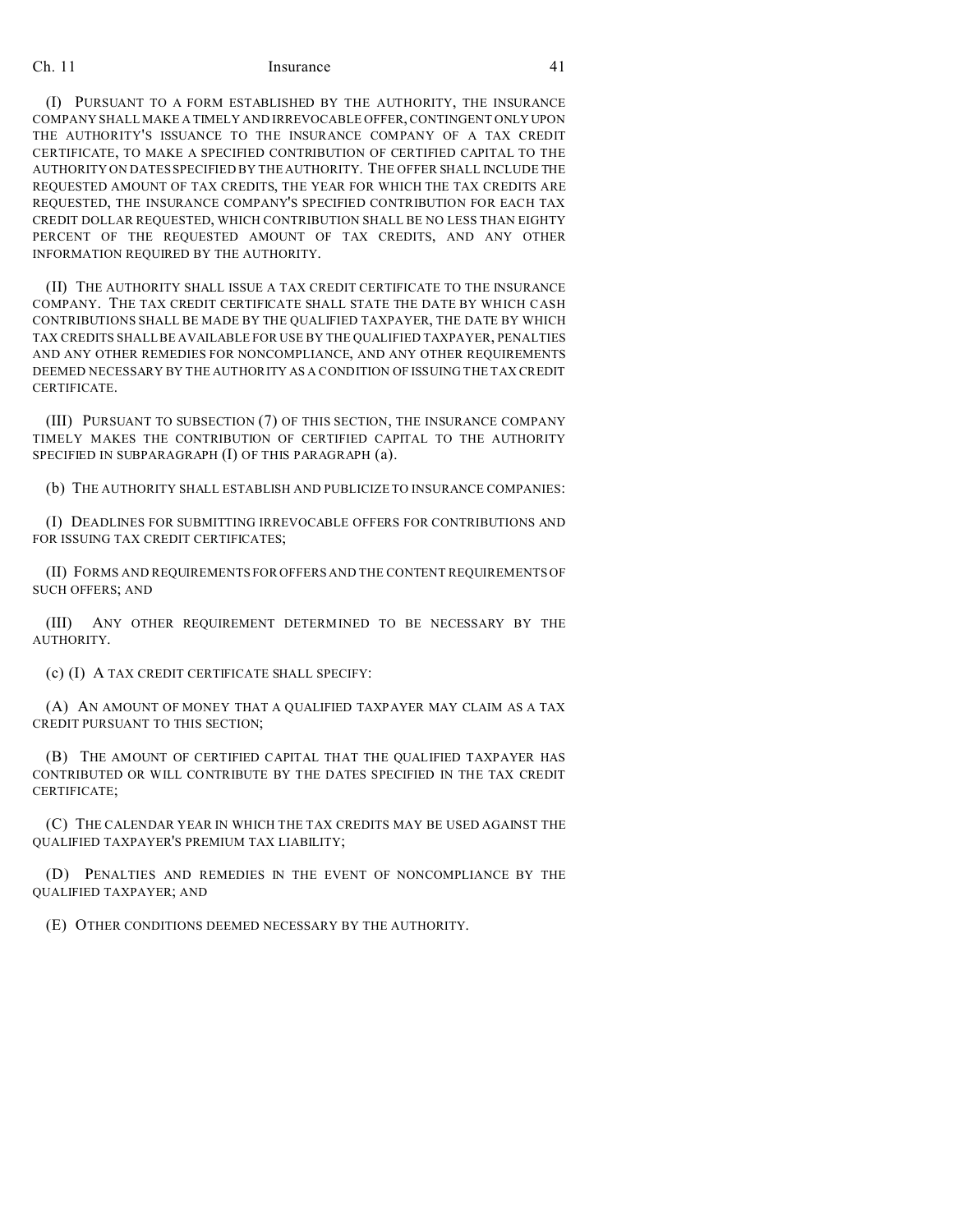(I) PURSUANT TO A FORM ESTABLISHED BY THE AUTHORITY, THE INSURANCE COMPANY SHALL MAKE A TIMELY AND IRREVOCABLE OFFER, CONTINGENT ONLY UPON THE AUTHORITY'S ISSUANCE TO THE INSURANCE COMPANY OF A TAX CREDIT CERTIFICATE, TO MAKE A SPECIFIED CONTRIBUTION OF CERTIFIED CAPITAL TO THE AUTHORITY ON DATES SPECIFIED BY THE AUTHORITY. THE OFFER SHALL INCLUDE THE REQUESTED AMOUNT OF TAX CREDITS, THE YEAR FOR WHICH THE TAX CREDITS ARE REQUESTED, THE INSURANCE COMPANY'S SPECIFIED CONTRIBUTION FOR EACH TAX CREDIT DOLLAR REQUESTED, WHICH CONTRIBUTION SHALL BE NO LESS THAN EIGHTY PERCENT OF THE REQUESTED AMOUNT OF TAX CREDITS, AND ANY OTHER INFORMATION REQUIRED BY THE AUTHORITY.

(II) THE AUTHORITY SHALL ISSUE A TAX CREDIT CERTIFICATE TO THE INSURANCE COMPANY. THE TAX CREDIT CERTIFICATE SHALL STATE THE DATE BY WHICH CASH CONTRIBUTIONS SHALL BE MADE BY THE QUALIFIED TAXPAYER, THE DATE BY WHICH TAX CREDITS SHALL BE AVAILABLE FOR USE BY THE QUALIFIED TAXPAYER, PENALTIES AND ANY OTHER REMEDIES FOR NONCOMPLIANCE, AND ANY OTHER REQUIREMENTS DEEMED NECESSARY BY THE AUTHORITY AS A CONDITION OF ISSUING THE TAX CREDIT CERTIFICATE.

(III) PURSUANT TO SUBSECTION (7) OF THIS SECTION, THE INSURANCE COMPANY TIMELY MAKES THE CONTRIBUTION OF CERTIFIED CAPITAL TO THE AUTHORITY SPECIFIED IN SUBPARAGRAPH (I) OF THIS PARAGRAPH (a).

(b) THE AUTHORITY SHALL ESTABLISH AND PUBLICIZE TO INSURANCE COMPANIES:

(I) DEADLINES FOR SUBMITTING IRREVOCABLE OFFERS FOR CONTRIBUTIONS AND FOR ISSUING TAX CREDIT CERTIFICATES;

(II) FORMS AND REQUIREMENTS FOR OFFERS AND THE CONTENT REQUIREMENTS OF SUCH OFFERS; AND

(III) ANY OTHER REQUIREMENT DETERMINED TO BE NECESSARY BY THE AUTHORITY.

(c) (I) A TAX CREDIT CERTIFICATE SHALL SPECIFY:

(A) AN AMOUNT OF MONEY THAT A QUALIFIED TAXPAYER MAY CLAIM AS A TAX CREDIT PURSUANT TO THIS SECTION;

(B) THE AMOUNT OF CERTIFIED CAPITAL THAT THE QUALIFIED TAXPAYER HAS CONTRIBUTED OR WILL CONTRIBUTE BY THE DATES SPECIFIED IN THE TAX CREDIT CERTIFICATE;

(C) THE CALENDAR YEAR IN WHICH THE TAX CREDITS MAY BE USED AGAINST THE QUALIFIED TAXPAYER'S PREMIUM TAX LIABILITY;

(D) PENALTIES AND REMEDIES IN THE EVENT OF NONCOMPLIANCE BY THE QUALIFIED TAXPAYER; AND

(E) OTHER CONDITIONS DEEMED NECESSARY BY THE AUTHORITY.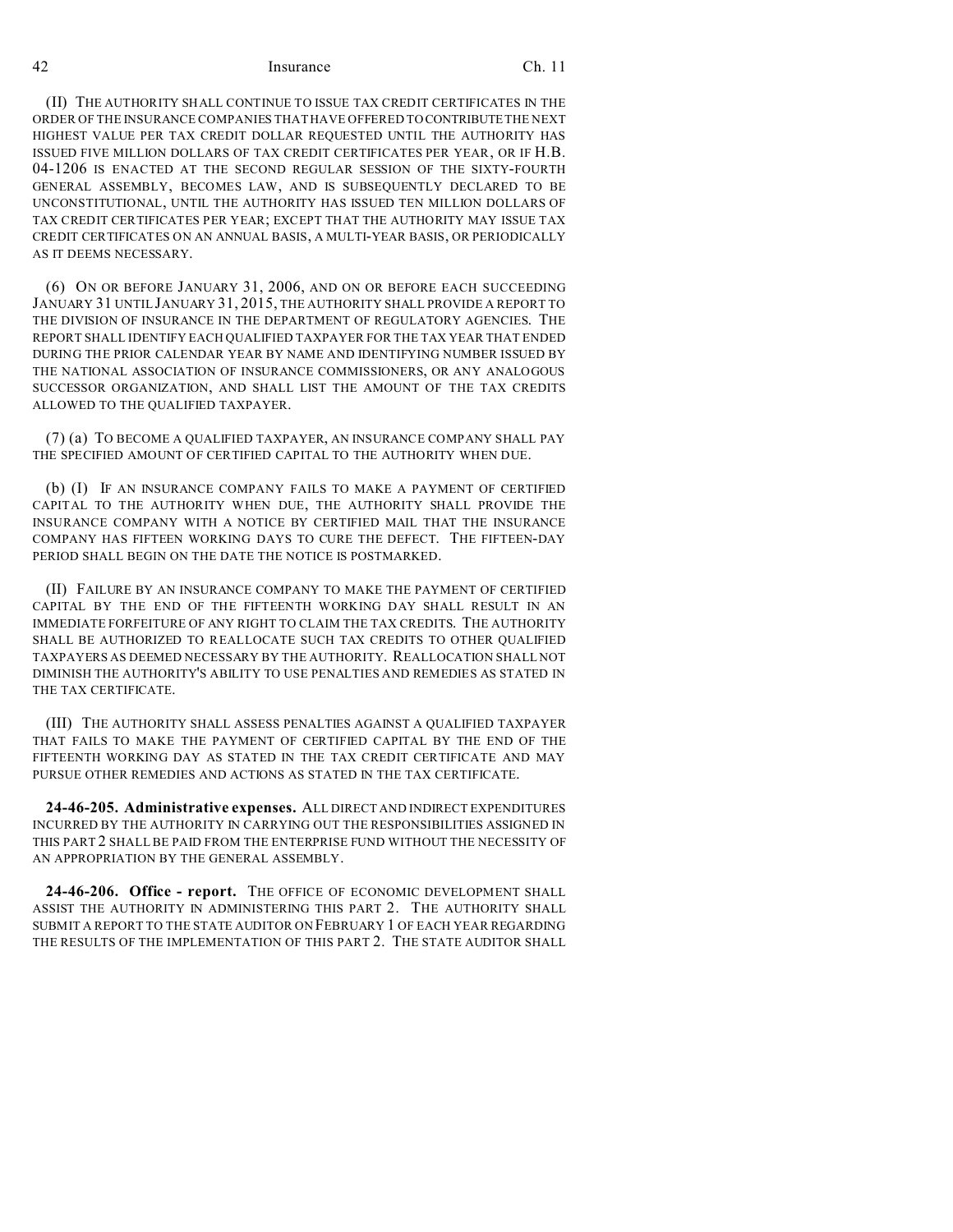(II) THE AUTHORITY SHALL CONTINUE TO ISSUE TAX CREDIT CERTIFICATES IN THE ORDER OF THE INSURANCE COMPANIES THAT HAVE OFFERED TO CONTRIBUTE THE NEXT HIGHEST VALUE PER TAX CREDIT DOLLAR REQUESTED UNTIL THE AUTHORITY HAS ISSUED FIVE MILLION DOLLARS OF TAX CREDIT CERTIFICATES PER YEAR, OR IF H.B. 04-1206 IS ENACTED AT THE SECOND REGULAR SESSION OF THE SIXTY-FOURTH GENERAL ASSEMBLY, BECOMES LAW, AND IS SUBSEQUENTLY DECLARED TO BE UNCONSTITUTIONAL, UNTIL THE AUTHORITY HAS ISSUED TEN MILLION DOLLARS OF TAX CREDIT CERTIFICATES PER YEAR; EXCEPT THAT THE AUTHORITY MAY ISSUE TAX CREDIT CERTIFICATES ON AN ANNUAL BASIS, A MULTI-YEAR BASIS, OR PERIODICALLY AS IT DEEMS NECESSARY.

(6) ON OR BEFORE JANUARY 31, 2006, AND ON OR BEFORE EACH SUCCEEDING JANUARY 31 UNTIL JANUARY 31, 2015, THE AUTHORITY SHALL PROVIDE A REPORT TO THE DIVISION OF INSURANCE IN THE DEPARTMENT OF REGULATORY AGENCIES. THE REPORT SHALL IDENTIFY EACH QUALIFIED TAXPAYER FOR THE TAX YEAR THAT ENDED DURING THE PRIOR CALENDAR YEAR BY NAME AND IDENTIFYING NUMBER ISSUED BY THE NATIONAL ASSOCIATION OF INSURANCE COMMISSIONERS, OR ANY ANALOGOUS SUCCESSOR ORGANIZATION, AND SHALL LIST THE AMOUNT OF THE TAX CREDITS ALLOWED TO THE QUALIFIED TAXPAYER.

(7) (a) TO BECOME A QUALIFIED TAXPAYER, AN INSURANCE COMPANY SHALL PAY THE SPECIFIED AMOUNT OF CERTIFIED CAPITAL TO THE AUTHORITY WHEN DUE.

(b) (I) IF AN INSURANCE COMPANY FAILS TO MAKE A PAYMENT OF CERTIFIED CAPITAL TO THE AUTHORITY WHEN DUE, THE AUTHORITY SHALL PROVIDE THE INSURANCE COMPANY WITH A NOTICE BY CERTIFIED MAIL THAT THE INSURANCE COMPANY HAS FIFTEEN WORKING DAYS TO CURE THE DEFECT. THE FIFTEEN-DAY PERIOD SHALL BEGIN ON THE DATE THE NOTICE IS POSTMARKED.

(II) FAILURE BY AN INSURANCE COMPANY TO MAKE THE PAYMENT OF CERTIFIED CAPITAL BY THE END OF THE FIFTEENTH WORKING DAY SHALL RESULT IN AN IMMEDIATE FORFEITURE OF ANY RIGHT TO CLAIM THE TAX CREDITS. THE AUTHORITY SHALL BE AUTHORIZED TO REALLOCATE SUCH TAX CREDITS TO OTHER QUALIFIED TAXPAYERS AS DEEMED NECESSARY BY THE AUTHORITY. REALLOCATION SHALL NOT DIMINISH THE AUTHORITY'S ABILITY TO USE PENALTIES AND REMEDIES AS STATED IN THE TAX CERTIFICATE.

(III) THE AUTHORITY SHALL ASSESS PENALTIES AGAINST A QUALIFIED TAXPAYER THAT FAILS TO MAKE THE PAYMENT OF CERTIFIED CAPITAL BY THE END OF THE FIFTEENTH WORKING DAY AS STATED IN THE TAX CREDIT CERTIFICATE AND MAY PURSUE OTHER REMEDIES AND ACTIONS AS STATED IN THE TAX CERTIFICATE.

**24-46-205. Administrative expenses.** ALL DIRECT AND INDIRECT EXPENDITURES INCURRED BY THE AUTHORITY IN CARRYING OUT THE RESPONSIBILITIES ASSIGNED IN THIS PART 2 SHALL BE PAID FROM THE ENTERPRISE FUND WITHOUT THE NECESSITY OF AN APPROPRIATION BY THE GENERAL ASSEMBLY.

**24-46-206. Office - report.** THE OFFICE OF ECONOMIC DEVELOPMENT SHALL ASSIST THE AUTHORITY IN ADMINISTERING THIS PART 2. THE AUTHORITY SHALL SUBMIT A REPORT TO THE STATE AUDITOR ON FEBRUARY 1 OF EACH YEAR REGARDING THE RESULTS OF THE IMPLEMENTATION OF THIS PART 2. THE STATE AUDITOR SHALL